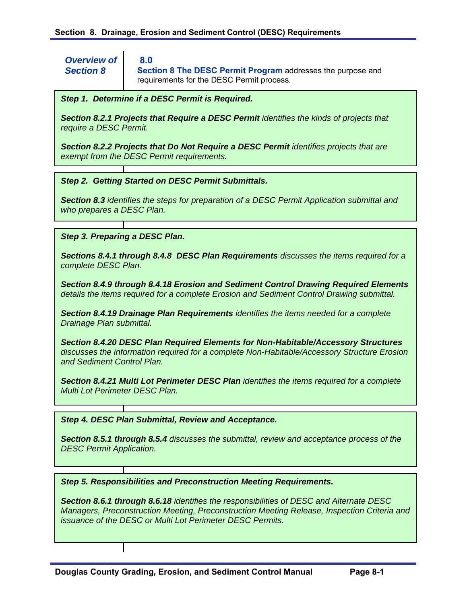*Overview of Section 8* 

**Section 8 The DESC Permit Program** addresses the purpose and requirements for the DESC Permit process.

#### *Step 1. Determine if a DESC Permit is Required.*

 **8.0**

*Section 8.2.1 Projects that Require a DESC Permit identifies the kinds of projects that require a DESC Permit.* 

*Section 8.2.2 Projects that Do Not Require a DESC Permit identifies projects that are exempt from the DESC Permit requirements.* 

*Step 2. Getting Started on DESC Permit Submittals.* 

*Section 8.3 identifies the steps for preparation of a DESC Permit Application submittal and who prepares a DESC Plan.* 

*Step 3. Preparing a DESC Plan.* 

*Sections 8.4.1 through 8.4.8 DESC Plan Requirements discusses the items required for a complete DESC Plan.* 

*Section 8.4.9 through 8.4.18 Erosion and Sediment Control Drawing Required Elements details the items required for a complete Erosion and Sediment Control Drawing submittal.* 

*Section 8.4.19 Drainage Plan Requirements identifies the items needed for a complete Drainage Plan submittal.* 

*Section 8.4.20 DESC Plan Required Elements for Non-Habitable/Accessory Structures discusses the information required for a complete Non-Habitable/Accessory Structure Erosion and Sediment Control Plan.* 

*Section 8.4.21 Multi Lot Perimeter DESC Plan identifies the items required for a complete Multi Lot Perimeter DESC Plan.* 

*Step 4. DESC Plan Submittal, Review and Acceptance.* 

*Section 8.5.1 through 8.5.4 discusses the submittal, review and acceptance process of the DESC Permit Application.* 

*Step 5. Responsibilities and Preconstruction Meeting Requirements.* 

*Section 8.6.1 through 8.6.18 identifies the responsibilities of DESC and Alternate DESC Managers, Preconstruction Meeting, Preconstruction Meeting Release, Inspection Criteria and issuance of the DESC or Multi Lot Perimeter DESC Permits.*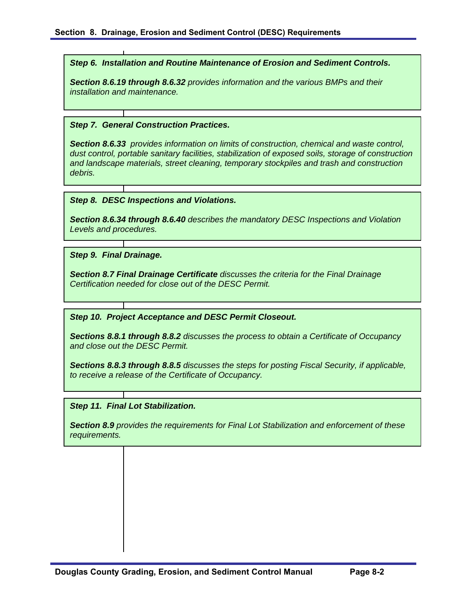*Step 6. Installation and Routine Maintenance of Erosion and Sediment Controls.* 

*Section 8.6.19 through 8.6.32 provides information and the various BMPs and their installation and maintenance.* 

#### *Step 7. General Construction Practices.*

*Section 8.6.33 provides information on limits of construction, chemical and waste control, dust control, portable sanitary facilities, stabilization of exposed soils, storage of construction and landscape materials, street cleaning, temporary stockpiles and trash and construction debris.* 

#### *Step 8. DESC Inspections and Violations.*

*Section 8.6.34 through 8.6.40 describes the mandatory DESC Inspections and Violation Levels and procedures.* 

*Step 9. Final Drainage.* 

*Section 8.7 Final Drainage Certificate discusses the criteria for the Final Drainage Certification needed for close out of the DESC Permit.* 

*Step 10. Project Acceptance and DESC Permit Closeout.* 

*Sections 8.8.1 through 8.8.2 discusses the process to obtain a Certificate of Occupancy and close out the DESC Permit.* 

*Sections 8.8.3 through 8.8.5 discusses the steps for posting Fiscal Security, if applicable, to receive a release of the Certificate of Occupancy.* 

#### *Step 11. Final Lot Stabilization.*

*Section 8.9 provides the requirements for Final Lot Stabilization and enforcement of these requirements.*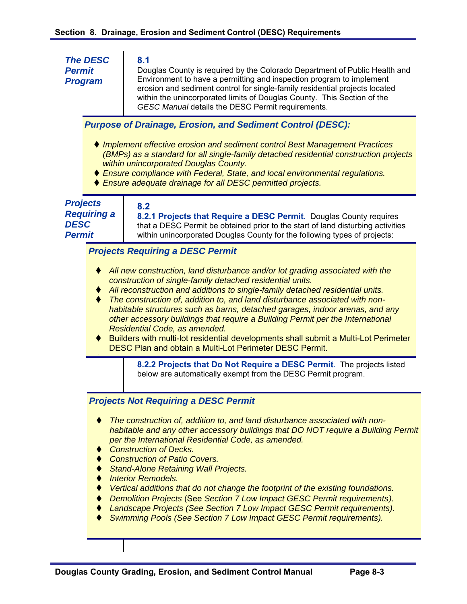| <b>The DESC</b><br><b>Permit</b><br><b>Program</b>                    |                                                                                                                                                                                                                                                                                                                                                                                                                                                                                                                                                                                                                                                                        | 8.1<br>Douglas County is required by the Colorado Department of Public Health and<br>Environment to have a permitting and inspection program to implement<br>erosion and sediment control for single-family residential projects located<br>within the unincorporated limits of Douglas County. This Section of the<br>GESC Manual details the DESC Permit requirements.                                                                                                                                                                                                                                              |  |  |  |  |  |
|-----------------------------------------------------------------------|------------------------------------------------------------------------------------------------------------------------------------------------------------------------------------------------------------------------------------------------------------------------------------------------------------------------------------------------------------------------------------------------------------------------------------------------------------------------------------------------------------------------------------------------------------------------------------------------------------------------------------------------------------------------|-----------------------------------------------------------------------------------------------------------------------------------------------------------------------------------------------------------------------------------------------------------------------------------------------------------------------------------------------------------------------------------------------------------------------------------------------------------------------------------------------------------------------------------------------------------------------------------------------------------------------|--|--|--|--|--|
|                                                                       |                                                                                                                                                                                                                                                                                                                                                                                                                                                                                                                                                                                                                                                                        | <b>Purpose of Drainage, Erosion, and Sediment Control (DESC):</b>                                                                                                                                                                                                                                                                                                                                                                                                                                                                                                                                                     |  |  |  |  |  |
|                                                                       |                                                                                                                                                                                                                                                                                                                                                                                                                                                                                                                                                                                                                                                                        | ♦ Implement effective erosion and sediment control Best Management Practices<br>(BMPs) as a standard for all single-family detached residential construction projects<br>within unincorporated Douglas County.<br>♦ Ensure compliance with Federal, State, and local environmental regulations.<br>♦ Ensure adequate drainage for all DESC permitted projects.                                                                                                                                                                                                                                                        |  |  |  |  |  |
| <b>Projects</b><br><b>Requiring a</b><br><b>DESC</b><br><b>Permit</b> |                                                                                                                                                                                                                                                                                                                                                                                                                                                                                                                                                                                                                                                                        | 8.2<br>8.2.1 Projects that Require a DESC Permit. Douglas County requires<br>that a DESC Permit be obtained prior to the start of land disturbing activities<br>within unincorporated Douglas County for the following types of projects:                                                                                                                                                                                                                                                                                                                                                                             |  |  |  |  |  |
|                                                                       |                                                                                                                                                                                                                                                                                                                                                                                                                                                                                                                                                                                                                                                                        | <b>Projects Requiring a DESC Permit</b>                                                                                                                                                                                                                                                                                                                                                                                                                                                                                                                                                                               |  |  |  |  |  |
|                                                                       | All new construction, land disturbance and/or lot grading associated with the<br>construction of single-family detached residential units.<br>All reconstruction and additions to single-family detached residential units.<br>The construction of, addition to, and land disturbance associated with non-<br>habitable structures such as barns, detached garages, indoor arenas, and any<br>other accessory buildings that require a Building Permit per the International<br>Residential Code, as amended.<br>Builders with multi-lot residential developments shall submit a Multi-Lot Perimeter<br><b>DESC Plan and obtain a Multi-Lot Perimeter DESC Permit.</b> |                                                                                                                                                                                                                                                                                                                                                                                                                                                                                                                                                                                                                       |  |  |  |  |  |
|                                                                       |                                                                                                                                                                                                                                                                                                                                                                                                                                                                                                                                                                                                                                                                        | 8.2.2 Projects that Do Not Require a DESC Permit. The projects listed<br>below are automatically exempt from the DESC Permit program.                                                                                                                                                                                                                                                                                                                                                                                                                                                                                 |  |  |  |  |  |
|                                                                       | <b>Projects Not Requiring a DESC Permit</b>                                                                                                                                                                                                                                                                                                                                                                                                                                                                                                                                                                                                                            |                                                                                                                                                                                                                                                                                                                                                                                                                                                                                                                                                                                                                       |  |  |  |  |  |
|                                                                       |                                                                                                                                                                                                                                                                                                                                                                                                                                                                                                                                                                                                                                                                        | The construction of, addition to, and land disturbance associated with non-<br>habitable and any other accessory buildings that DO NOT require a Building Permit<br>per the International Residential Code, as amended.<br><b>Construction of Decks.</b><br><b>Construction of Patio Covers.</b><br><b>Stand-Alone Retaining Wall Projects.</b><br><b>Interior Remodels.</b><br>Vertical additions that do not change the footprint of the existing foundations.<br>Demolition Projects (See Section 7 Low Impact GESC Permit requirements).<br>andecens Projects (See Section 7 Low Impost CESC Dermit requirements) |  |  |  |  |  |

- *Landscape Projects (See Section 7 Low Impact GESC Permit requirements).*
- *Swimming Pools (See Section 7 Low Impact GESC Permit requirements).*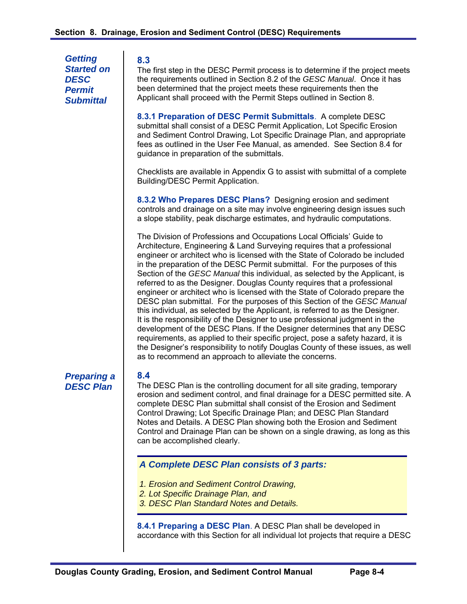*Getting Started on DESC Permit Submittal* 

#### **8.3**

The first step in the DESC Permit process is to determine if the project meets the requirements outlined in Section 8.2 of the *GESC Manual*. Once it has been determined that the project meets these requirements then the Applicant shall proceed with the Permit Steps outlined in Section 8.

**8.3.1 Preparation of DESC Permit Submittals**. A complete DESC submittal shall consist of a DESC Permit Application, Lot Specific Erosion and Sediment Control Drawing, Lot Specific Drainage Plan, and appropriate fees as outlined in the User Fee Manual, as amended. See Section 8.4 for guidance in preparation of the submittals.

Checklists are available in Appendix G to assist with submittal of a complete Building/DESC Permit Application.

**8.3.2 Who Prepares DESC Plans?** Designing erosion and sediment controls and drainage on a site may involve engineering design issues such a slope stability, peak discharge estimates, and hydraulic computations.

The Division of Professions and Occupations Local Officials' Guide to Architecture, Engineering & Land Surveying requires that a professional engineer or architect who is licensed with the State of Colorado be included in the preparation of the DESC Permit submittal. For the purposes of this Section of the *GESC Manual* this individual, as selected by the Applicant, is referred to as the Designer. Douglas County requires that a professional engineer or architect who is licensed with the State of Colorado prepare the DESC plan submittal. For the purposes of this Section of the *GESC Manual* this individual, as selected by the Applicant, is referred to as the Designer. It is the responsibility of the Designer to use professional judgment in the development of the DESC Plans. If the Designer determines that any DESC requirements, as applied to their specific project, pose a safety hazard, it is the Designer's responsibility to notify Douglas County of these issues, as well as to recommend an approach to alleviate the concerns.

*Preparing a DESC Plan* 

# **8.4**

The DESC Plan is the controlling document for all site grading, temporary erosion and sediment control, and final drainage for a DESC permitted site. A complete DESC Plan submittal shall consist of the Erosion and Sediment Control Drawing; Lot Specific Drainage Plan; and DESC Plan Standard Notes and Details. A DESC Plan showing both the Erosion and Sediment Control and Drainage Plan can be shown on a single drawing, as long as this can be accomplished clearly.

## *A Complete DESC Plan consists of 3 parts:*

- *1. Erosion and Sediment Control Drawing,*
- *2. Lot Specific Drainage Plan, and*
- *3. DESC Plan Standard Notes and Details.*

**8.4.1 Preparing a DESC Plan**. A DESC Plan shall be developed in accordance with this Section for all individual lot projects that require a DESC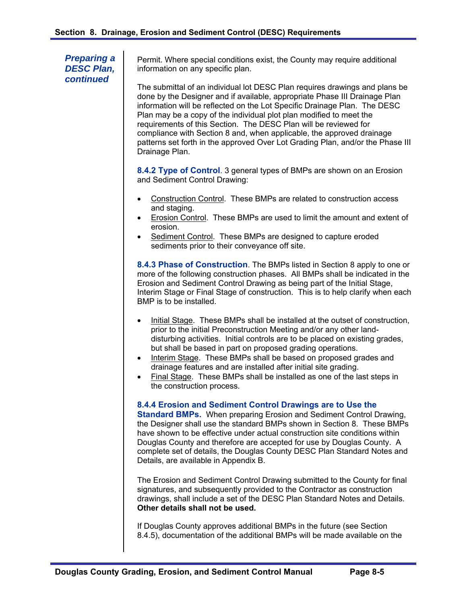*Preparing a DESC Plan, continued* 

Permit. Where special conditions exist, the County may require additional information on any specific plan.

The submittal of an individual lot DESC Plan requires drawings and plans be done by the Designer and if available, appropriate Phase III Drainage Plan information will be reflected on the Lot Specific Drainage Plan. The DESC Plan may be a copy of the individual plot plan modified to meet the requirements of this Section. The DESC Plan will be reviewed for compliance with Section 8 and, when applicable, the approved drainage patterns set forth in the approved Over Lot Grading Plan, and/or the Phase III Drainage Plan.

**8.4.2 Type of Control**. 3 general types of BMPs are shown on an Erosion and Sediment Control Drawing:

- Construction Control. These BMPs are related to construction access and staging.
- Erosion Control. These BMPs are used to limit the amount and extent of erosion.
- Sediment Control. These BMPs are designed to capture eroded sediments prior to their conveyance off site.

**8.4.3 Phase of Construction**. The BMPs listed in Section 8 apply to one or more of the following construction phases. All BMPs shall be indicated in the Erosion and Sediment Control Drawing as being part of the Initial Stage, Interim Stage or Final Stage of construction. This is to help clarify when each BMP is to be installed.

- Initial Stage. These BMPs shall be installed at the outset of construction, prior to the initial Preconstruction Meeting and/or any other landdisturbing activities. Initial controls are to be placed on existing grades, but shall be based in part on proposed grading operations.
- Interim Stage. These BMPs shall be based on proposed grades and drainage features and are installed after initial site grading.
- Final Stage. These BMPs shall be installed as one of the last steps in the construction process.

#### **8.4.4 Erosion and Sediment Control Drawings are to Use the**

**Standard BMPs.** When preparing Erosion and Sediment Control Drawing, the Designer shall use the standard BMPs shown in Section 8. These BMPs have shown to be effective under actual construction site conditions within Douglas County and therefore are accepted for use by Douglas County. A complete set of details, the Douglas County DESC Plan Standard Notes and Details, are available in Appendix B.

The Erosion and Sediment Control Drawing submitted to the County for final signatures, and subsequently provided to the Contractor as construction drawings, shall include a set of the DESC Plan Standard Notes and Details. **Other details shall not be used.** 

If Douglas County approves additional BMPs in the future (see Section 8.4.5), documentation of the additional BMPs will be made available on the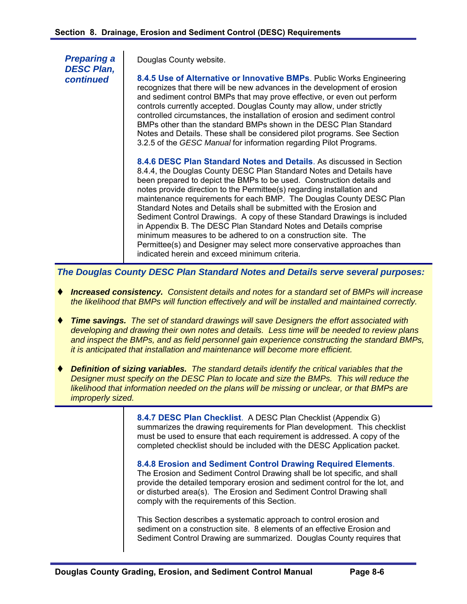*Preparing a DESC Plan, continued* 

Douglas County website.

**8.4.5 Use of Alternative or Innovative BMPs**. Public Works Engineering recognizes that there will be new advances in the development of erosion and sediment control BMPs that may prove effective, or even out perform controls currently accepted. Douglas County may allow, under strictly controlled circumstances, the installation of erosion and sediment control BMPs other than the standard BMPs shown in the DESC Plan Standard Notes and Details. These shall be considered pilot programs. See Section 3.2.5 of the *GESC Manual* for information regarding Pilot Programs.

**8.4.6 DESC Plan Standard Notes and Details**. As discussed in Section 8.4.4, the Douglas County DESC Plan Standard Notes and Details have been prepared to depict the BMPs to be used. Construction details and notes provide direction to the Permittee(s) regarding installation and maintenance requirements for each BMP. The Douglas County DESC Plan Standard Notes and Details shall be submitted with the Erosion and Sediment Control Drawings. A copy of these Standard Drawings is included in Appendix B. The DESC Plan Standard Notes and Details comprise minimum measures to be adhered to on a construction site. The Permittee(s) and Designer may select more conservative approaches than indicated herein and exceed minimum criteria.

*The Douglas County DESC Plan Standard Notes and Details serve several purposes:* 

- *Increased consistency. Consistent details and notes for a standard set of BMPs will increase the likelihood that BMPs will function effectively and will be installed and maintained correctly.*
- *Time savings. The set of standard drawings will save Designers the effort associated with developing and drawing their own notes and details. Less time will be needed to review plans and inspect the BMPs, and as field personnel gain experience constructing the standard BMPs, it is anticipated that installation and maintenance will become more efficient.*
- *Definition of sizing variables. The standard details identify the critical variables that the Designer must specify on the DESC Plan to locate and size the BMPs. This will reduce the likelihood that information needed on the plans will be missing or unclear, or that BMPs are improperly sized.*

**8.4.7 DESC Plan Checklist**.A DESC Plan Checklist (Appendix G) summarizes the drawing requirements for Plan development. This checklist must be used to ensure that each requirement is addressed. A copy of the completed checklist should be included with the DESC Application packet.

**8.4.8 Erosion and Sediment Control Drawing Required Elements**. The Erosion and Sediment Control Drawing shall be lot specific, and shall provide the detailed temporary erosion and sediment control for the lot, and or disturbed area(s). The Erosion and Sediment Control Drawing shall comply with the requirements of this Section.

This Section describes a systematic approach to control erosion and sediment on a construction site. 8 elements of an effective Erosion and Sediment Control Drawing are summarized. Douglas County requires that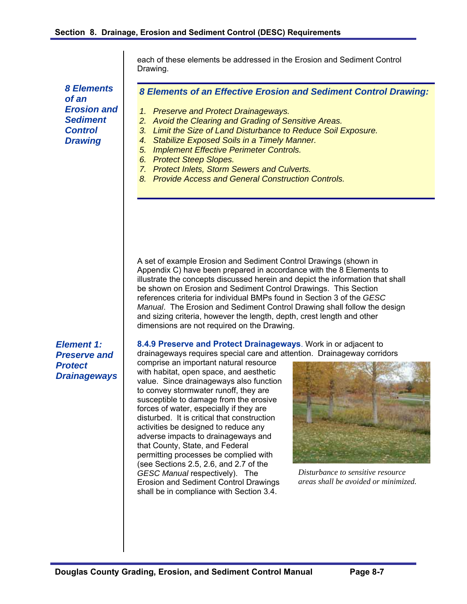*8 Elements of an Erosion and Sediment Control Drawing*

each of these elements be addressed in the Erosion and Sediment Control Drawing.

*8 Elements of an Effective Erosion and Sediment Control Drawing:* 

- *1. Preserve and Protect Drainageways.*
- *2. Avoid the Clearing and Grading of Sensitive Areas.*
- *3. Limit the Size of Land Disturbance to Reduce Soil Exposure.*
- *4. Stabilize Exposed Soils in a Timely Manner.*
- *5. Implement Effective Perimeter Controls.*
- *6. Protect Steep Slopes.*
- *7. Protect Inlets, Storm Sewers and Culverts.*
- *8. Provide Access and General Construction Controls.*

A set of example Erosion and Sediment Control Drawings (shown in Appendix C) have been prepared in accordance with the 8 Elements to illustrate the concepts discussed herein and depict the information that shall be shown on Erosion and Sediment Control Drawings. This Section references criteria for individual BMPs found in Section 3 of the *GESC Manual*. The Erosion and Sediment Control Drawing shall follow the design and sizing criteria, however the length, depth, crest length and other dimensions are not required on the Drawing.

*Element 1: Preserve and Protect Drainageways*  **8.4.9 Preserve and Protect Drainageways**. Work in or adjacent to drainageways requires special care and attention. Drainageway corridors

comprise an important natural resource with habitat, open space, and aesthetic value. Since drainageways also function to convey stormwater runoff, they are susceptible to damage from the erosive forces of water, especially if they are disturbed. It is critical that construction activities be designed to reduce any adverse impacts to drainageways and that County, State, and Federal permitting processes be complied with (see Sections 2.5, 2.6, and 2.7 of the *GESC Manual* respectively). The Erosion and Sediment Control Drawings shall be in compliance with Section 3.4.



*Disturbance to sensitive resource areas shall be avoided or minimized.*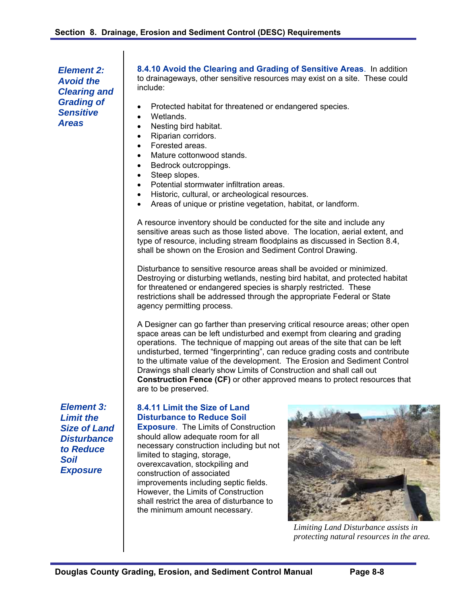*Element 2: Avoid the Clearing and Grading of Sensitive Areas* 

**8.4.10 Avoid the Clearing and Grading of Sensitive Areas**.In addition to drainageways, other sensitive resources may exist on a site. These could include:

- Protected habitat for threatened or endangered species.
- Wetlands.
- Nesting bird habitat.
- Riparian corridors.
- Forested areas.
- Mature cottonwood stands.
- Bedrock outcroppings.
- Steep slopes.
- Potential stormwater infiltration areas.
- Historic, cultural, or archeological resources.
- Areas of unique or pristine vegetation, habitat, or landform.

A resource inventory should be conducted for the site and include any sensitive areas such as those listed above. The location, aerial extent, and type of resource, including stream floodplains as discussed in Section 8.4, shall be shown on the Erosion and Sediment Control Drawing.

Disturbance to sensitive resource areas shall be avoided or minimized. Destroying or disturbing wetlands, nesting bird habitat, and protected habitat for threatened or endangered species is sharply restricted. These restrictions shall be addressed through the appropriate Federal or State agency permitting process.

A Designer can go farther than preserving critical resource areas; other open space areas can be left undisturbed and exempt from clearing and grading operations. The technique of mapping out areas of the site that can be left undisturbed, termed "fingerprinting", can reduce grading costs and contribute to the ultimate value of the development. The Erosion and Sediment Control Drawings shall clearly show Limits of Construction and shall call out **Construction Fence (CF)** or other approved means to protect resources that are to be preserved.

*Element 3: Limit the Size of Land Disturbance to Reduce Soil Exposure* 

## **8.4.11 Limit the Size of Land Disturbance to Reduce Soil**

**Exposure**. The Limits of Construction should allow adequate room for all necessary construction including but not limited to staging, storage, overexcavation, stockpiling and construction of associated improvements including septic fields. However, the Limits of Construction shall restrict the area of disturbance to the minimum amount necessary.



*Limiting Land Disturbance assists in protecting natural resources in the area.*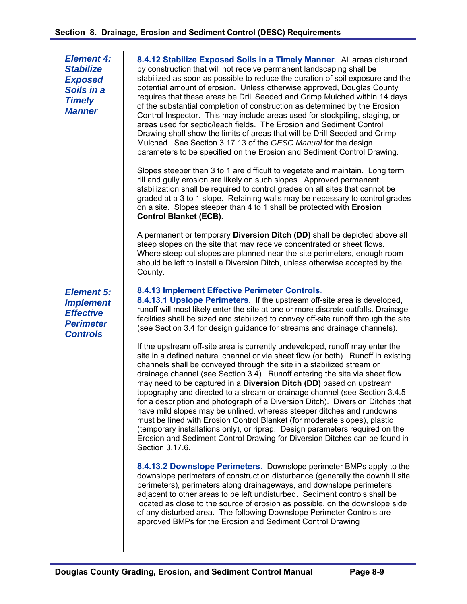*Element 4: Stabilize Exposed Soils in a Timely Manner* 

**8.4.12 Stabilize Exposed Soils in a Timely Manner**. All areas disturbed by construction that will not receive permanent landscaping shall be stabilized as soon as possible to reduce the duration of soil exposure and the potential amount of erosion. Unless otherwise approved, Douglas County requires that these areas be Drill Seeded and Crimp Mulched within 14 days of the substantial completion of construction as determined by the Erosion Control Inspector. This may include areas used for stockpiling, staging, or areas used for septic/leach fields. The Erosion and Sediment Control Drawing shall show the limits of areas that will be Drill Seeded and Crimp Mulched. See Section 3.17.13 of the *GESC Manual* for the design parameters to be specified on the Erosion and Sediment Control Drawing.

Slopes steeper than 3 to 1 are difficult to vegetate and maintain. Long term rill and gully erosion are likely on such slopes. Approved permanent stabilization shall be required to control grades on all sites that cannot be graded at a 3 to 1 slope. Retaining walls may be necessary to control grades on a site. Slopes steeper than 4 to 1 shall be protected with **Erosion Control Blanket (ECB).**

A permanent or temporary **Diversion Ditch (DD)** shall be depicted above all steep slopes on the site that may receive concentrated or sheet flows. Where steep cut slopes are planned near the site perimeters, enough room should be left to install a Diversion Ditch, unless otherwise accepted by the County.

## **8.4.13 Implement Effective Perimeter Controls**.

**8.4.13.1 Upslope Perimeters**. If the upstream off-site area is developed, runoff will most likely enter the site at one or more discrete outfalls. Drainage facilities shall be sized and stabilized to convey off-site runoff through the site (see Section 3.4 for design guidance for streams and drainage channels).

If the upstream off-site area is currently undeveloped, runoff may enter the site in a defined natural channel or via sheet flow (or both). Runoff in existing channels shall be conveyed through the site in a stabilized stream or drainage channel (see Section 3.4). Runoff entering the site via sheet flow may need to be captured in a **Diversion Ditch (DD)** based on upstream topography and directed to a stream or drainage channel (see Section 3.4.5 for a description and photograph of a Diversion Ditch). Diversion Ditches that have mild slopes may be unlined, whereas steeper ditches and rundowns must be lined with Erosion Control Blanket (for moderate slopes), plastic (temporary installations only), or riprap. Design parameters required on the Erosion and Sediment Control Drawing for Diversion Ditches can be found in Section 3.17.6.

**8.4.13.2 Downslope Perimeters**. Downslope perimeter BMPs apply to the downslope perimeters of construction disturbance (generally the downhill site perimeters), perimeters along drainageways, and downslope perimeters adjacent to other areas to be left undisturbed. Sediment controls shall be located as close to the source of erosion as possible, on the downslope side of any disturbed area. The following Downslope Perimeter Controls are approved BMPs for the Erosion and Sediment Control Drawing

*Element 5: Implement Effective Perimeter Controls*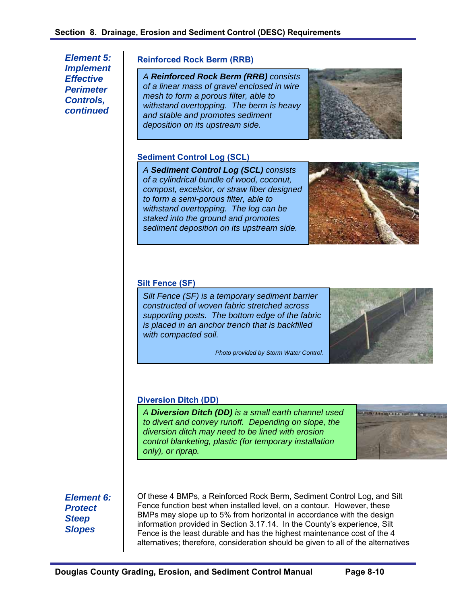*Element 5: Implement Effective Perimeter Controls, continued* 

#### **Reinforced Rock Berm (RRB)**

*A Reinforced Rock Berm (RRB) consists of a linear mass of gravel enclosed in wire mesh to form a porous filter, able to withstand overtopping. The berm is heavy and stable and promotes sediment deposition on its upstream side.* 



## **Sediment Control Log (SCL)**

*A Sediment Control Log (SCL) consists of a cylindrical bundle of wood, coconut, compost, excelsior, or straw fiber designed to form a semi-porous filter, able to withstand overtopping. The log can be staked into the ground and promotes sediment deposition on its upstream side.* 



#### **Silt Fence (SF)**

*Silt Fence (SF) is a temporary sediment barrier constructed of woven fabric stretched across supporting posts. The bottom edge of the fabric is placed in an anchor trench that is backfilled with compacted soil.* 

*Photo provided by Storm Water Control.* 



#### **Diversion Ditch (DD)**

*A Diversion Ditch (DD) is a small earth channel used to divert and convey runoff. Depending on slope, the diversion ditch may need to be lined with erosion control blanketing, plastic (for temporary installation only), or riprap.* 



*Element 6: Protect Steep Slopes* 

Of these 4 BMPs, a Reinforced Rock Berm, Sediment Control Log, and Silt Fence function best when installed level, on a contour. However, these BMPs may slope up to 5% from horizontal in accordance with the design information provided in Section 3.17.14. In the County's experience, Silt Fence is the least durable and has the highest maintenance cost of the 4 alternatives; therefore, consideration should be given to all of the alternatives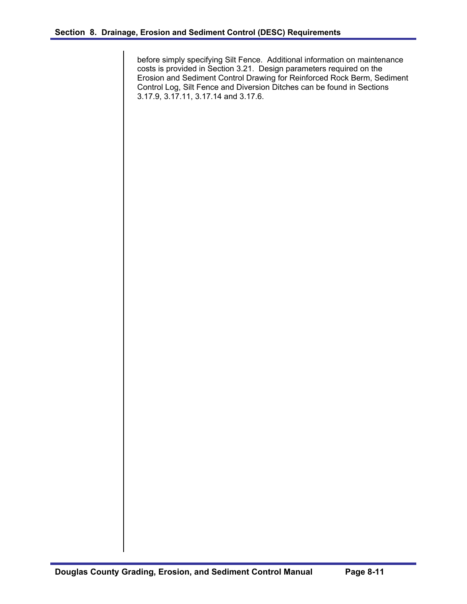before simply specifying Silt Fence. Additional information on maintenance costs is provided in Section 3.21. Design parameters required on the Erosion and Sediment Control Drawing for Reinforced Rock Berm, Sediment Control Log, Silt Fence and Diversion Ditches can be found in Sections 3.17.9, 3.17.11, 3.17.14 and 3.17.6.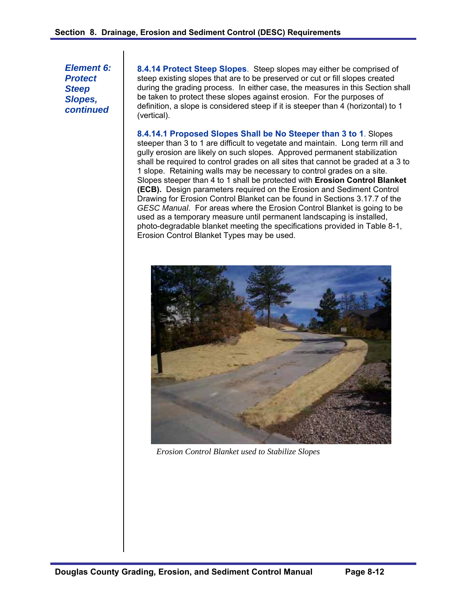*Element 6: Protect Steep Slopes, continued* 

**8.4.14 Protect Steep Slopes**. Steep slopes may either be comprised of steep existing slopes that are to be preserved or cut or fill slopes created during the grading process. In either case, the measures in this Section shall be taken to protect these slopes against erosion. For the purposes of definition, a slope is considered steep if it is steeper than 4 (horizontal) to 1 (vertical).

**8.4.14.1 Proposed Slopes Shall be No Steeper than 3 to 1**. Slopes steeper than 3 to 1 are difficult to vegetate and maintain. Long term rill and gully erosion are likely on such slopes. Approved permanent stabilization shall be required to control grades on all sites that cannot be graded at a 3 to 1 slope. Retaining walls may be necessary to control grades on a site. Slopes steeper than 4 to 1 shall be protected with **Erosion Control Blanket (ECB).** Design parameters required on the Erosion and Sediment Control Drawing for Erosion Control Blanket can be found in Sections 3.17.7 of the *GESC Manual*. For areas where the Erosion Control Blanket is going to be used as a temporary measure until permanent landscaping is installed, photo-degradable blanket meeting the specifications provided in Table 8-1, Erosion Control Blanket Types may be used.



*Erosion Control Blanket used to Stabilize Slopes*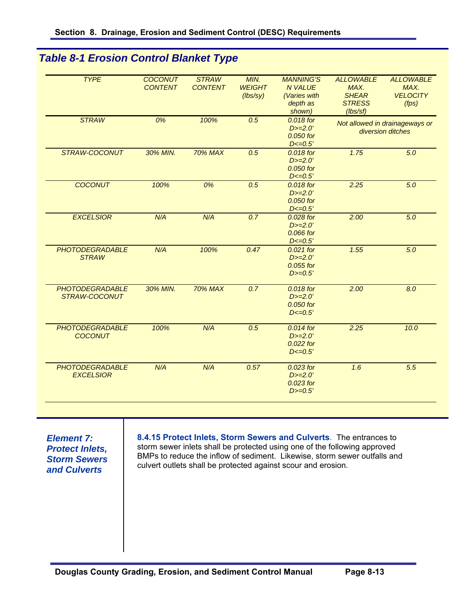*Table 8-1 Erosion Control Blanket Type*

| <b>TYPE</b>            | <b>COCONUT</b> | <b>STRAW</b>   | MIN.          | <b>MANNING'S</b>       | <b>ALLOWABLE</b> | <b>ALLOWABLE</b>               |
|------------------------|----------------|----------------|---------------|------------------------|------------------|--------------------------------|
|                        | <b>CONTENT</b> | <b>CONTENT</b> | <b>WEIGHT</b> | <b>N VALUE</b>         | MAX.             | MAX.                           |
|                        |                |                | (lbs/sy)      | (Varies with           | <b>SHEAR</b>     | <b>VELOCITY</b>                |
|                        |                |                |               | depth as               | <b>STRESS</b>    | (fps)                          |
|                        |                |                |               | shown)                 | (lbs/sf)         |                                |
| <b>STRAW</b>           | 0%             | 100%           | 0.5           | 0.018 for              |                  | Not allowed in drainageways or |
|                        |                |                |               | $D>=2.0'$              |                  | diversion ditches              |
|                        |                |                |               | 0.050 for              |                  |                                |
|                        |                |                |               | $D < = 0.5'$           |                  |                                |
| STRAW-COCONUT          | 30% MIN.       | <b>70% MAX</b> | 0.5           | 0.018 for              | 1.75             | $\overline{5.0}$               |
|                        |                |                |               | $D>=2.0'$              |                  |                                |
|                        |                |                |               | $0.050$ for            |                  |                                |
|                        |                |                |               | $D < = 0.5'$           |                  |                                |
| <b>COCONUT</b>         | 100%           | 0%             | 0.5           | 0.018 for              | 2.25             | 5.0                            |
|                        |                |                |               | $D>=2.0'$<br>0.050 for |                  |                                |
|                        |                |                |               | $D < = 0.5'$           |                  |                                |
| <b>EXCELSIOR</b>       | N/A            | N/A            | 0.7           | 0.028 for              | 2.00             | $\overline{5.0}$               |
|                        |                |                |               | $D>=2.0'$              |                  |                                |
|                        |                |                |               | 0.066 for              |                  |                                |
|                        |                |                |               | $D < = 0.5'$           |                  |                                |
| <b>PHOTODEGRADABLE</b> | N/A            | 100%           | 0.47          | $0.021$ for            | 1.55             | 5.0                            |
| <b>STRAW</b>           |                |                |               | $D>=2.0'$              |                  |                                |
|                        |                |                |               | 0.055 for              |                  |                                |
|                        |                |                |               | $D>=0.5'$              |                  |                                |
| <b>PHOTODEGRADABLE</b> | 30% MIN.       | <b>70% MAX</b> | 0.7           | 0.018 for              | 2.00             | 8.0                            |
| STRAW-COCONUT          |                |                |               | $D>=2.0'$              |                  |                                |
|                        |                |                |               | 0.050 for              |                  |                                |
|                        |                |                |               | $D < = 0.5'$           |                  |                                |
| <b>PHOTODEGRADABLE</b> | 100%           | N/A            | 0.5           | 0.014 for              | 2.25             | 10.0                           |
| <b>COCONUT</b>         |                |                |               | $D>=2.0'$              |                  |                                |
|                        |                |                |               | $0.022$ for            |                  |                                |
|                        |                |                |               | $D < = 0.5'$           |                  |                                |
| <b>PHOTODEGRADABLE</b> | N/A            | N/A            | 0.57          | 0.023 for              | 1.6              | 5.5                            |
| <b>EXCELSIOR</b>       |                |                |               | $D>=2.0'$              |                  |                                |
|                        |                |                |               | 0.023 for              |                  |                                |
|                        |                |                |               | $D>=0.5'$              |                  |                                |

*Element 7: Protect Inlets, Storm Sewers and Culverts* 

**8.4.15 Protect Inlets, Storm Sewers and Culverts**. The entrances to storm sewer inlets shall be protected using one of the following approved BMPs to reduce the inflow of sediment. Likewise, storm sewer outfalls and culvert outlets shall be protected against scour and erosion.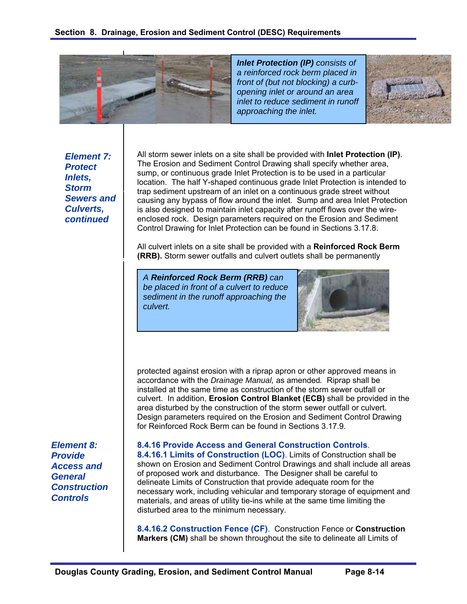

*Inlet Protection (IP) consists of a reinforced rock berm placed in front of (but not blocking) a curbopening inlet or around an area inlet to reduce sediment in runoff approaching the inlet.* 



**Storm Inlet** *Element 7: Protect Inlets, Sewers and Culverts, continued* 

*Continuous-grade Inlet* 

All storm sewer inlets on a site shall be provided with **Inlet Protection (IP)**. The Erosion and Sediment Control Drawing shall specify whether area, sump, or continuous grade Inlet Protection is to be used in a particular location. The half Y-shaped continuous grade Inlet Protection is intended to trap sediment upstream of an inlet on a continuous grade street without causing any bypass of flow around the inlet. Sump and area Inlet Protection is also designed to maintain inlet capacity after runoff flows over the wireenclosed rock. Design parameters required on the Erosion and Sediment Control Drawing for Inlet Protection can be found in Sections 3.17.8.

All culvert inlets on a site shall be provided with a **Reinforced Rock Berm (RRB).** Storm sewer outfalls and culvert outlets shall be permanently

*A Reinforced Rock Berm (RRB) can be placed in front of a culvert to reduce sediment in the runoff approaching the culvert.* 



protected against erosion with a riprap apron or other approved means in accordance with the *Drainage Manual,* as amended*.* Riprap shall be installed at the same time as construction of the storm sewer outfall or culvert. In addition, **Erosion Control Blanket (ECB)** shall be provided in the area disturbed by the construction of the storm sewer outfall or culvert. Design parameters required on the Erosion and Sediment Control Drawing for Reinforced Rock Berm can be found in Sections 3.17.9.

*Element 8: Provide Access and General Construction Controls* 

**8.4.16 Provide Access and General Construction Controls**. **8.4.16.1 Limits of Construction (LOC)**. Limits of Construction shall be shown on Erosion and Sediment Control Drawings and shall include all areas of proposed work and disturbance. The Designer shall be careful to delineate Limits of Construction that provide adequate room for the necessary work, including vehicular and temporary storage of equipment and materials, and areas of utility tie-ins while at the same time limiting the disturbed area to the minimum necessary.

**8.4.16.2 Construction Fence (CF)**. Construction Fence or **Construction Markers (CM)** shall be shown throughout the site to delineate all Limits of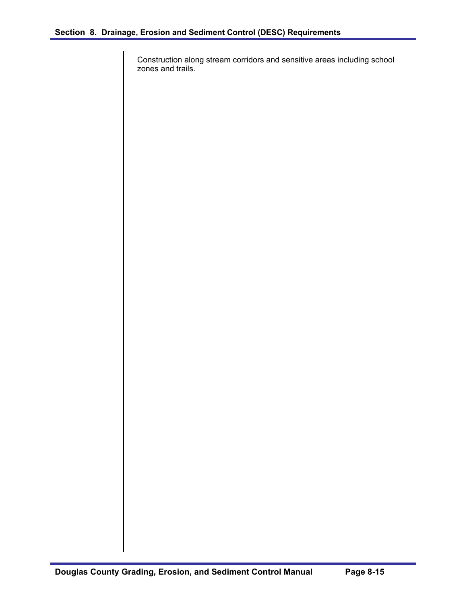Construction along stream corridors and sensitive areas including school zones and trails.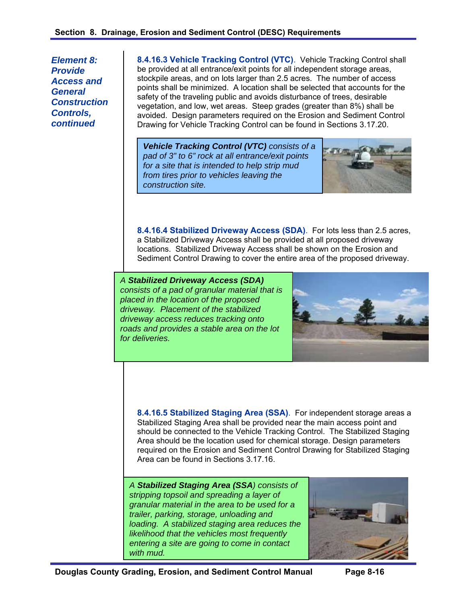*Element 8: Provide Access and General Construction Controls, continued* 

**8.4.16.3 Vehicle Tracking Control (VTC)**. Vehicle Tracking Control shall be provided at all entrance/exit points for all independent storage areas, stockpile areas, and on lots larger than 2.5 acres. The number of access points shall be minimized. A location shall be selected that accounts for the safety of the traveling public and avoids disturbance of trees, desirable vegetation, and low, wet areas. Steep grades (greater than 8%) shall be avoided. Design parameters required on the Erosion and Sediment Control Drawing for Vehicle Tracking Control can be found in Sections 3.17.20.

*Vehicle Tracking Control (VTC) consists of a pad of 3" to 6" rock at all entrance/exit points for a site that is intended to help strip mud from tires prior to vehicles leaving the construction site.* 



**8.4.16.4 Stabilized Driveway Access (SDA)**. For lots less than 2.5 acres, a Stabilized Driveway Access shall be provided at all proposed driveway locations. Stabilized Driveway Access shall be shown on the Erosion and Sediment Control Drawing to cover the entire area of the proposed driveway.

*A Stabilized Driveway Access (SDA) consists of a pad of granular material that is placed in the location of the proposed driveway. Placement of the stabilized driveway access reduces tracking onto roads and provides a stable area on the lot for deliveries.* 



**8.4.16.5 Stabilized Staging Area (SSA)**.For independent storage areas a Stabilized Staging Area shall be provided near the main access point and should be connected to the Vehicle Tracking Control. The Stabilized Staging Area should be the location used for chemical storage. Design parameters required on the Erosion and Sediment Control Drawing for Stabilized Staging Area can be found in Sections 3.17.16.

*A Stabilized Staging Area (SSA) consists of stripping topsoil and spreading a layer of granular material in the area to be used for a trailer, parking, storage, unloading and loading. A stabilized staging area reduces the likelihood that the vehicles most frequently entering a site are going to come in contact with mud.* 

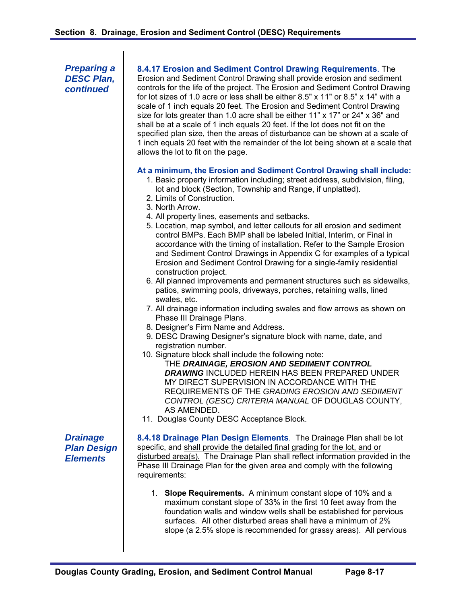*Preparing a DESC Plan, continued* 

#### **8.4.17 Erosion and Sediment Control Drawing Requirements**. The

Erosion and Sediment Control Drawing shall provide erosion and sediment controls for the life of the project. The Erosion and Sediment Control Drawing for lot sizes of 1.0 acre or less shall be either 8.5" x 11" or 8.5" x 14" with a scale of 1 inch equals 20 feet. The Erosion and Sediment Control Drawing size for lots greater than 1.0 acre shall be either 11" x 17" or 24" x 36" and shall be at a scale of 1 inch equals 20 feet. If the lot does not fit on the specified plan size, then the areas of disturbance can be shown at a scale of 1 inch equals 20 feet with the remainder of the lot being shown at a scale that allows the lot to fit on the page.

#### **At a minimum, the Erosion and Sediment Control Drawing shall include:**

- 1. Basic property information including; street address, subdivision, filing, lot and block (Section, Township and Range, if unplatted).
- 2. Limits of Construction.
- 3. North Arrow.
- 4. All property lines, easements and setbacks.
- 5. Location, map symbol, and letter callouts for all erosion and sediment control BMPs. Each BMP shall be labeled Initial, Interim, or Final in accordance with the timing of installation. Refer to the Sample Erosion and Sediment Control Drawings in Appendix C for examples of a typical Erosion and Sediment Control Drawing for a single-family residential construction project.
- 6. All planned improvements and permanent structures such as sidewalks, patios, swimming pools, driveways, porches, retaining walls, lined swales, etc.
- 7. All drainage information including swales and flow arrows as shown on Phase III Drainage Plans.
- 8. Designer's Firm Name and Address.
- 9. DESC Drawing Designer's signature block with name, date, and registration number.
- 10. Signature block shall include the following note:

THE *DRAINAGE, EROSION AND SEDIMENT CONTROL DRAWING* INCLUDED HEREIN HAS BEEN PREPARED UNDER MY DIRECT SUPERVISION IN ACCORDANCE WITH THE REQUIREMENTS OF THE *GRADING EROSION AND SEDIMENT CONTROL (GESC) CRITERIA MANUAL* OF DOUGLAS COUNTY, AS AMENDED.

11. Douglas County DESC Acceptance Block.

*Drainage Plan Design Elements* 

**8.4.18 Drainage Plan Design Elements**. The Drainage Plan shall be lot specific, and shall provide the detailed final grading for the lot, and or disturbed area(s). The Drainage Plan shall reflect information provided in the Phase III Drainage Plan for the given area and comply with the following requirements:

1. **Slope Requirements.** A minimum constant slope of 10% and a maximum constant slope of 33% in the first 10 feet away from the foundation walls and window wells shall be established for pervious surfaces. All other disturbed areas shall have a minimum of 2% slope (a 2.5% slope is recommended for grassy areas). All pervious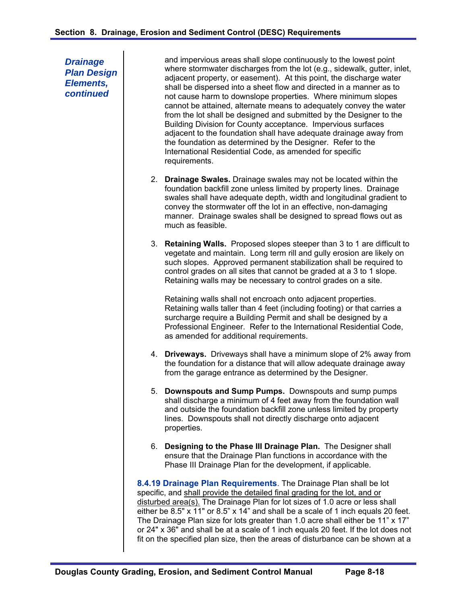*Drainage Plan Design Elements, continued* 

and impervious areas shall slope continuously to the lowest point where stormwater discharges from the lot (e.g., sidewalk, gutter, inlet, adjacent property, or easement). At this point, the discharge water shall be dispersed into a sheet flow and directed in a manner as to not cause harm to downslope properties. Where minimum slopes cannot be attained, alternate means to adequately convey the water from the lot shall be designed and submitted by the Designer to the Building Division for County acceptance. Impervious surfaces adjacent to the foundation shall have adequate drainage away from the foundation as determined by the Designer. Refer to the International Residential Code, as amended for specific requirements.

- 2. **Drainage Swales.** Drainage swales may not be located within the foundation backfill zone unless limited by property lines. Drainage swales shall have adequate depth, width and longitudinal gradient to convey the stormwater off the lot in an effective, non-damaging manner. Drainage swales shall be designed to spread flows out as much as feasible.
- 3. **Retaining Walls.** Proposed slopes steeper than 3 to 1 are difficult to vegetate and maintain. Long term rill and gully erosion are likely on such slopes. Approved permanent stabilization shall be required to control grades on all sites that cannot be graded at a 3 to 1 slope. Retaining walls may be necessary to control grades on a site.

Retaining walls shall not encroach onto adjacent properties. Retaining walls taller than 4 feet (including footing) or that carries a surcharge require a Building Permit and shall be designed by a Professional Engineer. Refer to the International Residential Code, as amended for additional requirements.

- 4. **Driveways.** Driveways shall have a minimum slope of 2% away from the foundation for a distance that will allow adequate drainage away from the garage entrance as determined by the Designer.
- 5. **Downspouts and Sump Pumps.** Downspouts and sump pumps shall discharge a minimum of 4 feet away from the foundation wall and outside the foundation backfill zone unless limited by property lines. Downspouts shall not directly discharge onto adjacent properties.
- 6. **Designing to the Phase III Drainage Plan.** The Designer shall ensure that the Drainage Plan functions in accordance with the Phase III Drainage Plan for the development, if applicable.

**8.4.19 Drainage Plan Requirements**. The Drainage Plan shall be lot specific, and shall provide the detailed final grading for the lot, and or disturbed area(s). The Drainage Plan for lot sizes of 1.0 acre or less shall either be 8.5" x 11" or 8.5" x 14" and shall be a scale of 1 inch equals 20 feet. The Drainage Plan size for lots greater than 1.0 acre shall either be 11" x 17" or 24" x 36" and shall be at a scale of 1 inch equals 20 feet. If the lot does not fit on the specified plan size, then the areas of disturbance can be shown at a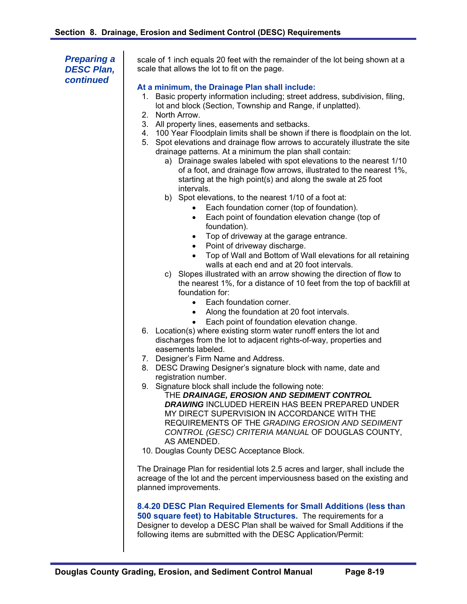*Preparing a DESC Plan, continued* 

scale of 1 inch equals 20 feet with the remainder of the lot being shown at a scale that allows the lot to fit on the page.

#### **At a minimum, the Drainage Plan shall include:**

- 1. Basic property information including; street address, subdivision, filing, lot and block (Section, Township and Range, if unplatted).
- 2. North Arrow.
- 3. All property lines, easements and setbacks.
- 4. 100 Year Floodplain limits shall be shown if there is floodplain on the lot.
- 5. Spot elevations and drainage flow arrows to accurately illustrate the site drainage patterns. At a minimum the plan shall contain:
	- a) Drainage swales labeled with spot elevations to the nearest 1/10 of a foot, and drainage flow arrows, illustrated to the nearest 1%, starting at the high point(s) and along the swale at 25 foot intervals.
	- b) Spot elevations, to the nearest 1/10 of a foot at:
		- Each foundation corner (top of foundation).
		- Each point of foundation elevation change (top of foundation).
		- Top of driveway at the garage entrance.
		- Point of driveway discharge.
		- Top of Wall and Bottom of Wall elevations for all retaining walls at each end and at 20 foot intervals.
	- c) Slopes illustrated with an arrow showing the direction of flow to the nearest 1%, for a distance of 10 feet from the top of backfill at foundation for:
		- Each foundation corner.
		- Along the foundation at 20 foot intervals.
		- Each point of foundation elevation change.
- 6. Location(s) where existing storm water runoff enters the lot and discharges from the lot to adjacent rights-of-way, properties and easements labeled.
- 7. Designer's Firm Name and Address.
- 8. DESC Drawing Designer's signature block with name, date and registration number.
- 9. Signature block shall include the following note: THE *DRAINAGE, EROSION AND SEDIMENT CONTROL DRAWING* INCLUDED HEREIN HAS BEEN PREPARED UNDER MY DIRECT SUPERVISION IN ACCORDANCE WITH THE REQUIREMENTS OF THE *GRADING EROSION AND SEDIMENT CONTROL (GESC) CRITERIA MANUAL* OF DOUGLAS COUNTY, AS AMENDED.
- 10. Douglas County DESC Acceptance Block.

The Drainage Plan for residential lots 2.5 acres and larger, shall include the acreage of the lot and the percent imperviousness based on the existing and planned improvements.

**8.4.20 DESC Plan Required Elements for Small Additions (less than 500 square feet) to Habitable Structures.** The requirements for a Designer to develop a DESC Plan shall be waived for Small Additions if the following items are submitted with the DESC Application/Permit: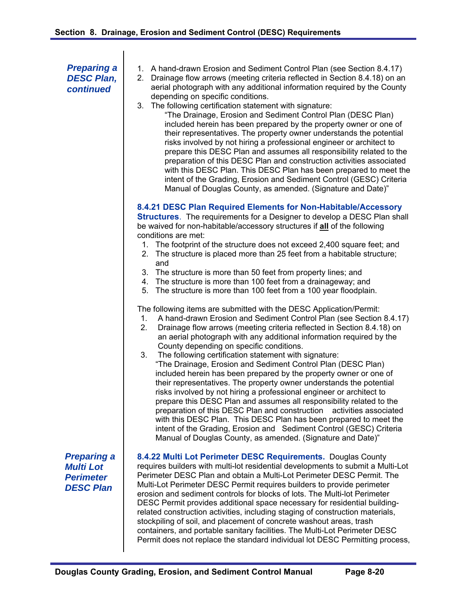*Preparing a DESC Plan, continued* 

- 1. A hand-drawn Erosion and Sediment Control Plan (see Section 8.4.17)
- 2. Drainage flow arrows (meeting criteria reflected in Section 8.4.18) on an aerial photograph with any additional information required by the County depending on specific conditions.
- 3. The following certification statement with signature:
	- "The Drainage, Erosion and Sediment Control Plan (DESC Plan) included herein has been prepared by the property owner or one of their representatives. The property owner understands the potential risks involved by not hiring a professional engineer or architect to prepare this DESC Plan and assumes all responsibility related to the preparation of this DESC Plan and construction activities associated with this DESC Plan. This DESC Plan has been prepared to meet the intent of the Grading, Erosion and Sediment Control (GESC) Criteria Manual of Douglas County, as amended. (Signature and Date)"

**8.4.21 DESC Plan Required Elements for Non-Habitable/Accessory** 

**Structures**. The requirements for a Designer to develop a DESC Plan shall be waived for non-habitable/accessory structures if **all** of the following conditions are met:

- 1. The footprint of the structure does not exceed 2,400 square feet; and
- 2. The structure is placed more than 25 feet from a habitable structure; and
- 3. The structure is more than 50 feet from property lines; and
- 4. The structure is more than 100 feet from a drainageway; and
- 5. The structure is more than 100 feet from a 100 year floodplain.

The following items are submitted with the DESC Application/Permit:

- 1. A hand-drawn Erosion and Sediment Control Plan (see Section 8.4.17)
- 2. Drainage flow arrows (meeting criteria reflected in Section 8.4.18) on an aerial photograph with any additional information required by the County depending on specific conditions.
- 3. The following certification statement with signature: "The Drainage, Erosion and Sediment Control Plan (DESC Plan) included herein has been prepared by the property owner or one of their representatives. The property owner understands the potential risks involved by not hiring a professional engineer or architect to prepare this DESC Plan and assumes all responsibility related to the preparation of this DESC Plan and construction activities associated with this DESC Plan. This DESC Plan has been prepared to meet the intent of the Grading, Erosion and Sediment Control (GESC) Criteria Manual of Douglas County, as amended. (Signature and Date)"

*Preparing a Multi Lot Perimeter DESC Plan* 

**8.4.22 Multi Lot Perimeter DESC Requirements.** Douglas County requires builders with multi-lot residential developments to submit a Multi-Lot Perimeter DESC Plan and obtain a Multi-Lot Perimeter DESC Permit. The Multi-Lot Perimeter DESC Permit requires builders to provide perimeter erosion and sediment controls for blocks of lots. The Multi-lot Perimeter DESC Permit provides additional space necessary for residential buildingrelated construction activities, including staging of construction materials, stockpiling of soil, and placement of concrete washout areas, trash containers, and portable sanitary facilities. The Multi-Lot Perimeter DESC Permit does not replace the standard individual lot DESC Permitting process,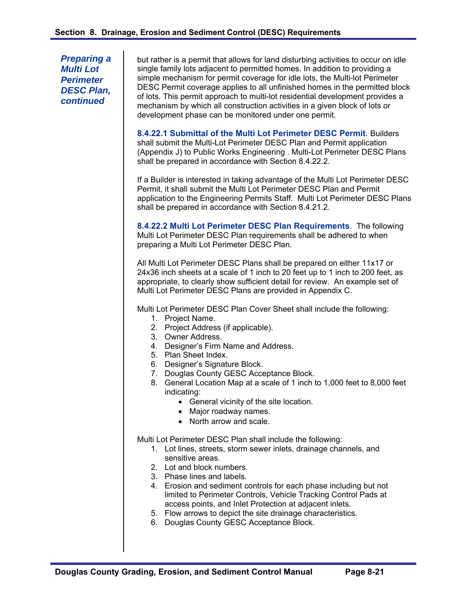*Preparing a Multi Lot Perimeter DESC Plan, continued* 

but rather is a permit that allows for land disturbing activities to occur on idle single family lots adjacent to permitted homes. In addition to providing a simple mechanism for permit coverage for idle lots, the Multi-lot Perimeter DESC Permit coverage applies to all unfinished homes in the permitted block of lots. This permit approach to multi-lot residential development provides a mechanism by which all construction activities in a given block of lots or development phase can be monitored under one permit.

**8.4.22.1 Submittal of the Multi Lot Perimeter DESC Permit**. Builders shall submit the Multi-Lot Perimeter DESC Plan and Permit application (Appendix J) to Public Works Engineering . Multi-Lot Perimeter DESC Plans shall be prepared in accordance with Section 8.4.22.2.

If a Builder is interested in taking advantage of the Multi Lot Perimeter DESC Permit, it shall submit the Multi Lot Perimeter DESC Plan and Permit application to the Engineering Permits Staff. Multi Lot Perimeter DESC Plans shall be prepared in accordance with Section 8.4.21.2.

**8.4.22.2 Multi Lot Perimeter DESC Plan Requirements**. The following Multi Lot Perimeter DESC Plan requirements shall be adhered to when preparing a Multi Lot Perimeter DESC Plan.

All Multi Lot Perimeter DESC Plans shall be prepared on either 11x17 or 24x36 inch sheets at a scale of 1 inch to 20 feet up to 1 inch to 200 feet, as appropriate, to clearly show sufficient detail for review. An example set of Multi Lot Perimeter DESC Plans are provided in Appendix C.

Multi Lot Perimeter DESC Plan Cover Sheet shall include the following:

- 1. Project Name.
- 2. Project Address (if applicable).
- 3. Owner Address.
- 4. Designer's Firm Name and Address.
- 5. Plan Sheet Index.
- 6. Designer's Signature Block.
- 7. Douglas County GESC Acceptance Block.
- 8. General Location Map at a scale of 1 inch to 1,000 feet to 8,000 feet indicating:
	- General vicinity of the site location.
	- Major roadway names.
	- North arrow and scale.

Multi Lot Perimeter DESC Plan shall include the following:

- 1. Lot lines, streets, storm sewer inlets, drainage channels, and sensitive areas.
- 2. Lot and block numbers.
- 3. Phase lines and labels.
- 4. Erosion and sediment controls for each phase including but not limited to Perimeter Controls, Vehicle Tracking Control Pads at access points, and Inlet Protection at adjacent inlets.
- 5. Flow arrows to depict the site drainage characteristics.
- 6. Douglas County GESC Acceptance Block.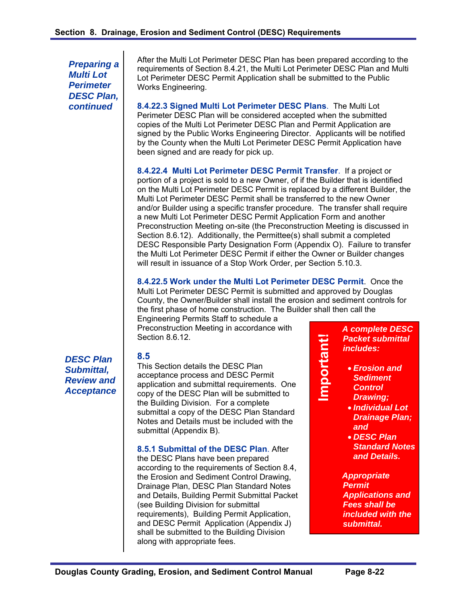*Preparing a Multi Lot Perimeter DESC Plan, continued* 

After the Multi Lot Perimeter DESC Plan has been prepared according to the requirements of Section 8.4.21, the Multi Lot Perimeter DESC Plan and Multi Lot Perimeter DESC Permit Application shall be submitted to the Public Works Engineering.

**8.4.22.3 Signed Multi Lot Perimeter DESC Plans**. The Multi Lot Perimeter DESC Plan will be considered accepted when the submitted copies of the Multi Lot Perimeter DESC Plan and Permit Application are signed by the Public Works Engineering Director. Applicants will be notified by the County when the Multi Lot Perimeter DESC Permit Application have been signed and are ready for pick up.

**8.4.22.4 Multi Lot Perimeter DESC Permit Transfer**. If a project or portion of a project is sold to a new Owner, of if the Builder that is identified on the Multi Lot Perimeter DESC Permit is replaced by a different Builder, the Multi Lot Perimeter DESC Permit shall be transferred to the new Owner and/or Builder using a specific transfer procedure. The transfer shall require a new Multi Lot Perimeter DESC Permit Application Form and another Preconstruction Meeting on-site (the Preconstruction Meeting is discussed in Section 8.6.12). Additionally, the Permittee(s) shall submit a completed DESC Responsible Party Designation Form (Appendix O). Failure to transfer the Multi Lot Perimeter DESC Permit if either the Owner or Builder changes will result in issuance of a Stop Work Order, per Section 5.10.3.

**8.4.22.5 Work under the Multi Lot Perimeter DESC Permit**. Once the Multi Lot Perimeter DESC Permit is submitted and approved by Douglas County, the Owner/Builder shall install the erosion and sediment controls for the first phase of home construction. The Builder shall then call the

Engineering Permits Staff to schedule a Preconstruction Meeting in accordance with Section 8.6.12.

*DESC Plan Submittal, Review and Acceptance* 

## **8.5**

This Section details the DESC Plan acceptance process and DESC Permit application and submittal requirements. One copy of the DESC Plan will be submitted to the Building Division. For a complete submittal a copy of the DESC Plan Standard Notes and Details must be included with the submittal (Appendix B).

## **8.5.1 Submittal of the DESC Plan**. After

the DESC Plans have been prepared according to the requirements of Section 8.4, the Erosion and Sediment Control Drawing, Drainage Plan, DESC Plan Standard Notes and Details, Building Permit Submittal Packet (see Building Division for submittal requirements), Building Permit Application, and DESC Permit Application (Appendix J) shall be submitted to the Building Division along with appropriate fees.

*A complete DESC Packet submittal includes:* 

 *Erosion and Sediment Control Drawing;* 

**Important!** 

Important!

- *Individual Lot Drainage Plan; and*
- *DESC Plan Standard Notes and Details.*

*Appropriate Permit Applications and Fees shall be included with the submittal.*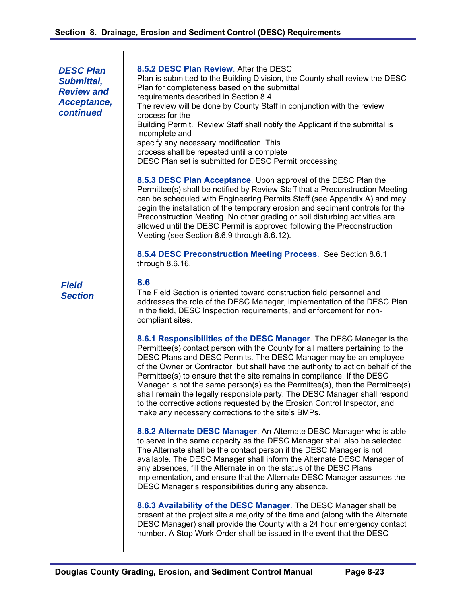*DESC Plan Submittal, Review and Acceptance, continued* 

*Field Section* 

#### **8.5.2 DESC Plan Review**. After the DESC

Plan is submitted to the Building Division, the County shall review the DESC Plan for completeness based on the submittal requirements described in Section 8.4. The review will be done by County Staff in conjunction with the review process for the Building Permit. Review Staff shall notify the Applicant if the submittal is incomplete and specify any necessary modification. This process shall be repeated until a complete DESC Plan set is submitted for DESC Permit processing.

**8.5.3 DESC Plan Acceptance**. Upon approval of the DESC Plan the Permittee(s) shall be notified by Review Staff that a Preconstruction Meeting can be scheduled with Engineering Permits Staff (see Appendix A) and may begin the installation of the temporary erosion and sediment controls for the Preconstruction Meeting. No other grading or soil disturbing activities are allowed until the DESC Permit is approved following the Preconstruction Meeting (see Section 8.6.9 through 8.6.12).

**8.5.4 DESC Preconstruction Meeting Process**. See Section 8.6.1 through 8.6.16.

#### **8.6**

The Field Section is oriented toward construction field personnel and addresses the role of the DESC Manager, implementation of the DESC Plan in the field, DESC Inspection requirements, and enforcement for noncompliant sites.

**8.6.1 Responsibilities of the DESC Manager**. The DESC Manager is the Permittee(s) contact person with the County for all matters pertaining to the DESC Plans and DESC Permits. The DESC Manager may be an employee of the Owner or Contractor, but shall have the authority to act on behalf of the Permittee(s) to ensure that the site remains in compliance. If the DESC Manager is not the same person(s) as the Permittee(s), then the Permittee(s) shall remain the legally responsible party. The DESC Manager shall respond to the corrective actions requested by the Erosion Control Inspector, and make any necessary corrections to the site's BMPs.

**8.6.2 Alternate DESC Manager**. An Alternate DESC Manager who is able to serve in the same capacity as the DESC Manager shall also be selected. The Alternate shall be the contact person if the DESC Manager is not available. The DESC Manager shall inform the Alternate DESC Manager of any absences, fill the Alternate in on the status of the DESC Plans implementation, and ensure that the Alternate DESC Manager assumes the DESC Manager's responsibilities during any absence.

**8.6.3 Availability of the DESC Manager**. The DESC Manager shall be present at the project site a majority of the time and (along with the Alternate DESC Manager) shall provide the County with a 24 hour emergency contact number. A Stop Work Order shall be issued in the event that the DESC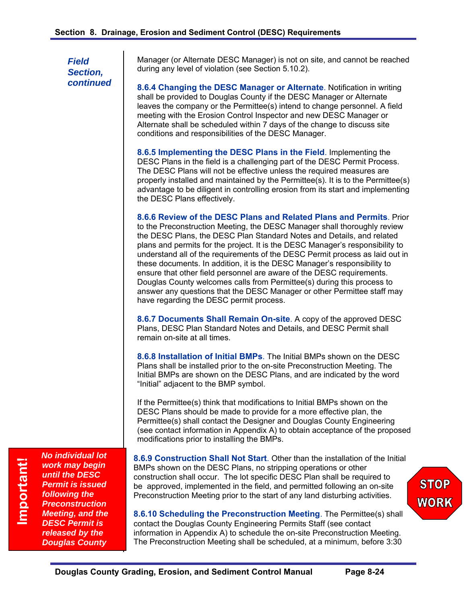Manager (or Alternate DESC Manager) is not on site, and cannot be reached during any level of violation (see Section 5.10.2).

**8.6.4 Changing the DESC Manager or Alternate**. Notification in writing shall be provided to Douglas County if the DESC Manager or Alternate leaves the company or the Permittee(s) intend to change personnel. A field meeting with the Erosion Control Inspector and new DESC Manager or Alternate shall be scheduled within 7 days of the change to discuss site conditions and responsibilities of the DESC Manager.

**8.6.5 Implementing the DESC Plans in the Field**. Implementing the DESC Plans in the field is a challenging part of the DESC Permit Process. The DESC Plans will not be effective unless the required measures are properly installed and maintained by the Permittee(s). It is to the Permittee(s) advantage to be diligent in controlling erosion from its start and implementing the DESC Plans effectively.

**8.6.6 Review of the DESC Plans and Related Plans and Permits**. Prior to the Preconstruction Meeting, the DESC Manager shall thoroughly review the DESC Plans, the DESC Plan Standard Notes and Details, and related plans and permits for the project. It is the DESC Manager's responsibility to understand all of the requirements of the DESC Permit process as laid out in these documents. In addition, it is the DESC Manager's responsibility to ensure that other field personnel are aware of the DESC requirements. Douglas County welcomes calls from Permittee(s) during this process to answer any questions that the DESC Manager or other Permittee staff may have regarding the DESC permit process.

**8.6.7 Documents Shall Remain On-site**. A copy of the approved DESC Plans, DESC Plan Standard Notes and Details, and DESC Permit shall remain on-site at all times.

**8.6.8 Installation of Initial BMPs**. The Initial BMPs shown on the DESC Plans shall be installed prior to the on-site Preconstruction Meeting. The Initial BMPs are shown on the DESC Plans, and are indicated by the word "Initial" adjacent to the BMP symbol.

If the Permittee(s) think that modifications to Initial BMPs shown on the DESC Plans should be made to provide for a more effective plan, the Permittee(s) shall contact the Designer and Douglas County Engineering (see contact information in Appendix A) to obtain acceptance of the proposed modifications prior to installing the BMPs.

**8.6.9 Construction Shall Not Start**. Other than the installation of the Initial BMPs shown on the DESC Plans, no stripping operations or other construction shall occur. The lot specific DESC Plan shall be required to be approved, implemented in the field, and permitted following an on-site Preconstruction Meeting prior to the start of any land disturbing activities.

**8.6.10 Scheduling the Preconstruction Meeting**. The Permittee(s) shall contact the Douglas County Engineering Permits Staff (see contact information in Appendix A) to schedule the on-site Preconstruction Meeting. The Preconstruction Meeting shall be scheduled, at a minimum, before 3:30

**STOP** WORK

*work may begin until the DESC Permit is issued following the Preconstruction Meeting, and the DESC Permit is released by the Douglas County* 

*No individual lot*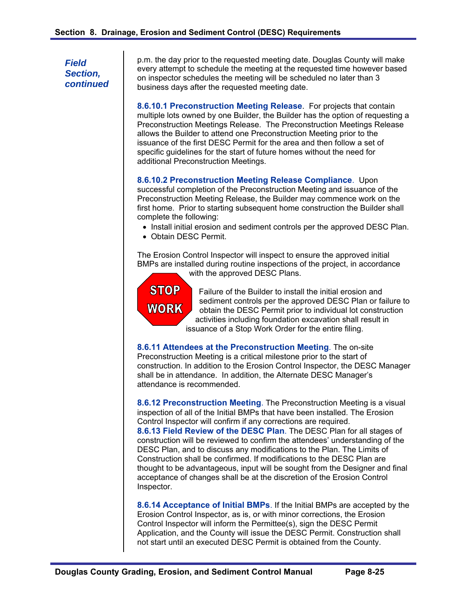p.m. the day prior to the requested meeting date. Douglas County will make every attempt to schedule the meeting at the requested time however based on inspector schedules the meeting will be scheduled no later than 3 business days after the requested meeting date.

**8.6.10.1 Preconstruction Meeting Release**. For projects that contain multiple lots owned by one Builder, the Builder has the option of requesting a Preconstruction Meetings Release. The Preconstruction Meetings Release allows the Builder to attend one Preconstruction Meeting prior to the issuance of the first DESC Permit for the area and then follow a set of specific guidelines for the start of future homes without the need for additional Preconstruction Meetings.

**8.6.10.2 Preconstruction Meeting Release Compliance**. Upon successful completion of the Preconstruction Meeting and issuance of the Preconstruction Meeting Release, the Builder may commence work on the first home. Prior to starting subsequent home construction the Builder shall complete the following:

- Install initial erosion and sediment controls per the approved DESC Plan.
- Obtain DESC Permit.

The Erosion Control Inspector will inspect to ensure the approved initial BMPs are installed during routine inspections of the project, in accordance with the approved DESC Plans.



Failure of the Builder to install the initial erosion and sediment controls per the approved DESC Plan or failure to obtain the DESC Permit prior to individual lot construction activities including foundation excavation shall result in issuance of a Stop Work Order for the entire filing.

**8.6.11 Attendees at the Preconstruction Meeting**. The on-site Preconstruction Meeting is a critical milestone prior to the start of construction. In addition to the Erosion Control Inspector, the DESC Manager shall be in attendance. In addition, the Alternate DESC Manager's attendance is recommended.

**8.6.12 Preconstruction Meeting**. The Preconstruction Meeting is a visual inspection of all of the Initial BMPs that have been installed. The Erosion Control Inspector will confirm if any corrections are required. **8.6.13 Field Review of the DESC Plan**. The DESC Plan for all stages of construction will be reviewed to confirm the attendees' understanding of the DESC Plan, and to discuss any modifications to the Plan. The Limits of Construction shall be confirmed. If modifications to the DESC Plan are thought to be advantageous, input will be sought from the Designer and final acceptance of changes shall be at the discretion of the Erosion Control Inspector.

**8.6.14 Acceptance of Initial BMPs**. If the Initial BMPs are accepted by the Erosion Control Inspector, as is, or with minor corrections, the Erosion Control Inspector will inform the Permittee(s), sign the DESC Permit Application, and the County will issue the DESC Permit. Construction shall not start until an executed DESC Permit is obtained from the County.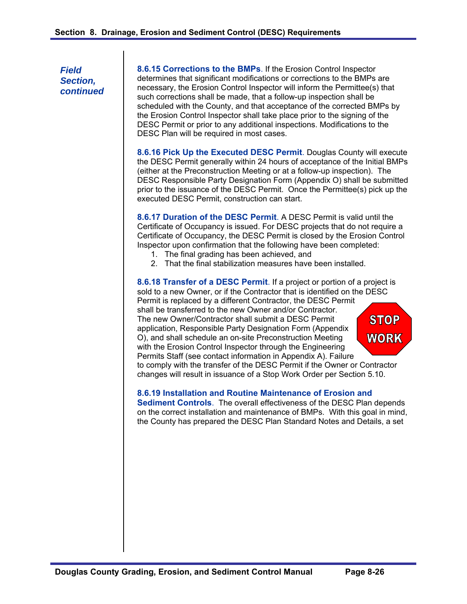**8.6.15 Corrections to the BMPs**. If the Erosion Control Inspector determines that significant modifications or corrections to the BMPs are necessary, the Erosion Control Inspector will inform the Permittee(s) that such corrections shall be made, that a follow-up inspection shall be scheduled with the County, and that acceptance of the corrected BMPs by the Erosion Control Inspector shall take place prior to the signing of the DESC Permit or prior to any additional inspections. Modifications to the DESC Plan will be required in most cases.

**8.6.16 Pick Up the Executed DESC Permit**. Douglas County will execute the DESC Permit generally within 24 hours of acceptance of the Initial BMPs (either at the Preconstruction Meeting or at a follow-up inspection). The DESC Responsible Party Designation Form (Appendix O) shall be submitted prior to the issuance of the DESC Permit. Once the Permittee(s) pick up the executed DESC Permit, construction can start.

**8.6.17 Duration of the DESC Permit**. A DESC Permit is valid until the Certificate of Occupancy is issued. For DESC projects that do not require a Certificate of Occupancy, the DESC Permit is closed by the Erosion Control Inspector upon confirmation that the following have been completed:

- 1. The final grading has been achieved, and
- 2. That the final stabilization measures have been installed.

**8.6.18 Transfer of a DESC Permit**. If a project or portion of a project is sold to a new Owner, or if the Contractor that is identified on the DESC Permit is replaced by a different Contractor, the DESC Permit shall be transferred to the new Owner and/or Contractor. **STOP** The new Owner/Contractor shall submit a DESC Permit application, Responsible Party Designation Form (Appendix O), and shall schedule an on-site Preconstruction Meeting **WORK** with the Erosion Control Inspector through the Engineering Permits Staff (see contact information in Appendix A). Failure to comply with the transfer of the DESC Permit if the Owner or Contractor

# changes will result in issuance of a Stop Work Order per Section 5.10.

#### **8.6.19 Installation and Routine Maintenance of Erosion and**

**Sediment Controls**. The overall effectiveness of the DESC Plan depends on the correct installation and maintenance of BMPs. With this goal in mind, the County has prepared the DESC Plan Standard Notes and Details, a set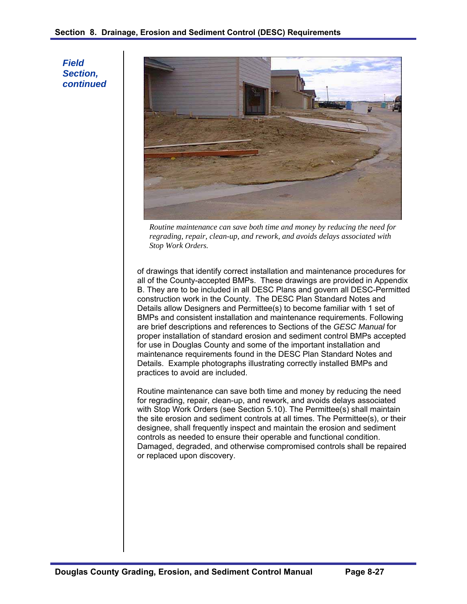

*Routine maintenance can save both time and money by reducing the need for regrading, repair, clean-up, and rework, and avoids delays associated with Stop Work Orders.* 

of drawings that identify correct installation and maintenance procedures for all of the County-accepted BMPs. These drawings are provided in Appendix B. They are to be included in all DESC Plans and govern all DESC-Permitted construction work in the County. The DESC Plan Standard Notes and Details allow Designers and Permittee(s) to become familiar with 1 set of BMPs and consistent installation and maintenance requirements. Following are brief descriptions and references to Sections of the *GESC Manual* for proper installation of standard erosion and sediment control BMPs accepted for use in Douglas County and some of the important installation and maintenance requirements found in the DESC Plan Standard Notes and Details. Example photographs illustrating correctly installed BMPs and practices to avoid are included.

Routine maintenance can save both time and money by reducing the need for regrading, repair, clean-up, and rework, and avoids delays associated with Stop Work Orders (see Section 5.10). The Permittee(s) shall maintain the site erosion and sediment controls at all times. The Permittee(s), or their designee, shall frequently inspect and maintain the erosion and sediment controls as needed to ensure their operable and functional condition. Damaged, degraded, and otherwise compromised controls shall be repaired or replaced upon discovery.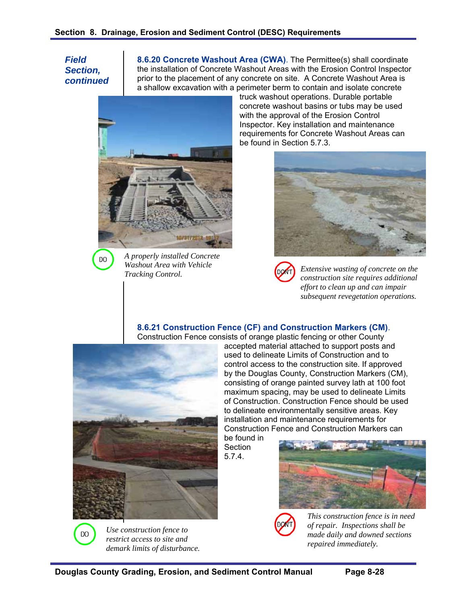DO

**8.6.20 Concrete Washout Area (CWA)**. The Permittee(s) shall coordinate the installation of Concrete Washout Areas with the Erosion Control Inspector prior to the placement of any concrete on site. A Concrete Washout Area is a shallow excavation with a perimeter berm to contain and isolate concrete



*A properly installed Concrete Washout Area with Vehicle Tracking Control.* 

truck washout operations. Durable portable concrete washout basins or tubs may be used with the approval of the Erosion Control Inspector. Key installation and maintenance requirements for Concrete Washout Areas can be found in Section 5.7.3.



*Extensive wasting of concrete on the construction site requires additional effort to clean up and can impair subsequent revegetation operations.* 

## **8.6.21 Construction Fence (CF) and Construction Markers (CM)**.

Construction Fence consists of orange plastic fencing or other County



accepted material attached to support posts and used to delineate Limits of Construction and to control access to the construction site. If approved by the Douglas County, Construction Markers (CM), consisting of orange painted survey lath at 100 foot maximum spacing, may be used to delineate Limits of Construction. Construction Fence should be used to delineate environmentally sensitive areas. Key installation and maintenance requirements for Construction Fence and Construction Markers can be found in

Section 5.7.4.



*This construction fence is in need of repair. Inspections shall be made daily and downed sections repaired immediately.* 



**DO** 

*restrict access to site and demark limits of disturbance.*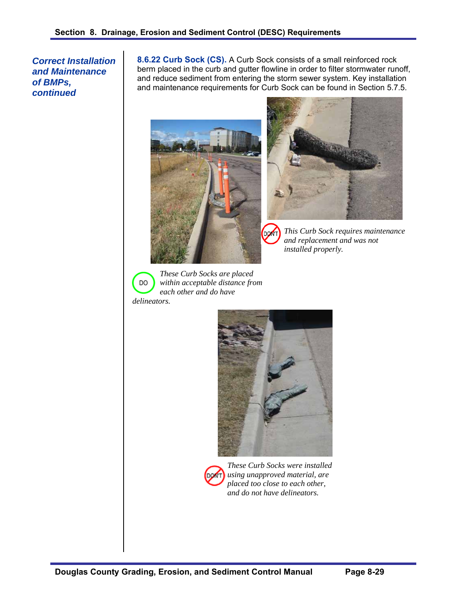*Correct Installation and Maintenance of BMPs, continued* 

**8.6.22 Curb Sock (CS).** A Curb Sock consists of a small reinforced rock berm placed in the curb and gutter flowline in order to filter stormwater runoff, and reduce sediment from entering the storm sewer system. Key installation and maintenance requirements for Curb Sock can be found in Section 5.7.5.





*This Curb Sock requires maintenance and replacement and was not installed properly.* 

DO

*These Curb Socks are placed within acceptable distance from each other and do have* 

*delineators.* 





*These Curb Socks were installed using unapproved material, are placed too close to each other, and do not have delineators.*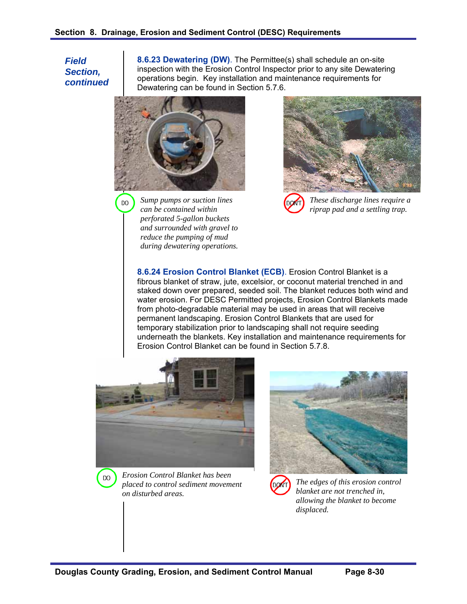DO

**8.6.23 Dewatering (DW)**. The Permittee(s) shall schedule an on-site inspection with the Erosion Control Inspector prior to any site Dewatering operations begin. Key installation and maintenance requirements for Dewatering can be found in Section 5.7.6.



*Sump pumps or suction lines can be contained within perforated 5-gallon buckets and surrounded with gravel to reduce the pumping of mud during dewatering operations.* 



*These discharge lines require a riprap pad and a settling trap.* 

**8.6.24 Erosion Control Blanket (ECB)**. Erosion Control Blanket is a fibrous blanket of straw, jute, excelsior, or coconut material trenched in and staked down over prepared, seeded soil. The blanket reduces both wind and water erosion. For DESC Permitted projects, Erosion Control Blankets made from photo-degradable material may be used in areas that will receive permanent landscaping. Erosion Control Blankets that are used for temporary stabilization prior to landscaping shall not require seeding underneath the blankets. Key installation and maintenance requirements for Erosion Control Blanket can be found in Section 5.7.8.





*Erosion Control Blanket has been placed to control sediment movement on disturbed areas.* 





*The edges of this erosion control blanket are not trenched in, allowing the blanket to become displaced.*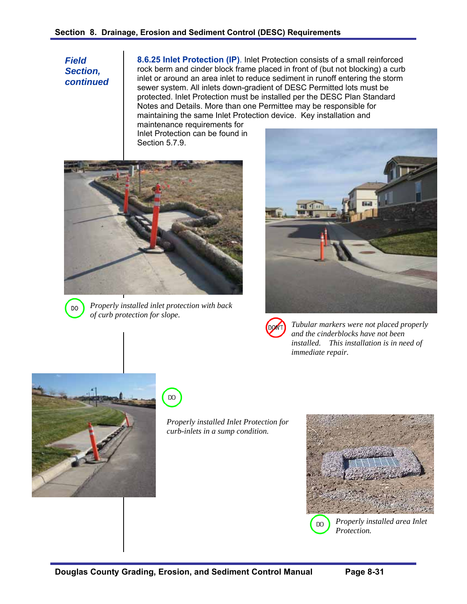**8.6.25 Inlet Protection (IP)**. Inlet Protection consists of a small reinforced rock berm and cinder block frame placed in front of (but not blocking) a curb inlet or around an area inlet to reduce sediment in runoff entering the storm sewer system. All inlets down-gradient of DESC Permitted lots must be protected. Inlet Protection must be installed per the DESC Plan Standard Notes and Details. More than one Permittee may be responsible for maintaining the same Inlet Protection device. Key installation and

maintenance requirements for Inlet Protection can be found in Section 5.7.9.





*Properly installed inlet protection with back of curb protection for slope.* 



| ON'<br>D |            |
|----------|------------|
|          | $\epsilon$ |
|          | i          |

*Tubular markers were not placed properly and the cinderblocks have not been installed. This installation is in need of immediate repair.* 





*Properly installed Inlet Protection for curb-inlets in a sump condition.* 



*Properly installed area Inlet Protection.*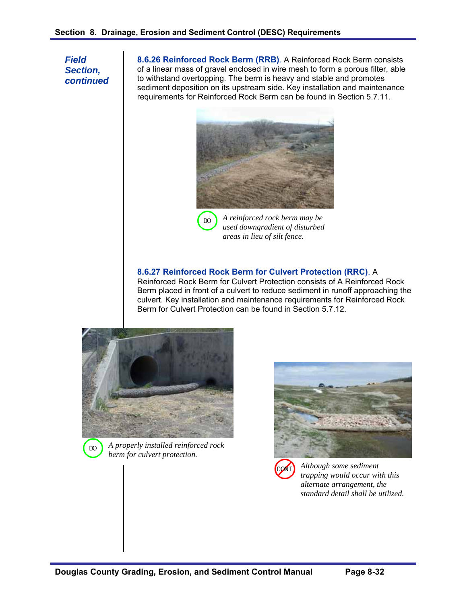DO

*Field Section, continued*  **8.6.26 Reinforced Rock Berm (RRB)**. A Reinforced Rock Berm consists of a linear mass of gravel enclosed in wire mesh to form a porous filter, able to withstand overtopping. The berm is heavy and stable and promotes sediment deposition on its upstream side. Key installation and maintenance requirements for Reinforced Rock Berm can be found in Section 5.7.11.



*A reinforced rock berm may be used downgradient of disturbed areas in lieu of silt fence.* 

## **8.6.27 Reinforced Rock Berm for Culvert Protection (RRC)**. A

Reinforced Rock Berm for Culvert Protection consists of A Reinforced Rock Berm placed in front of a culvert to reduce sediment in runoff approaching the culvert. Key installation and maintenance requirements for Reinforced Rock Berm for Culvert Protection can be found in Section 5.7.12.



DO

*A properly installed reinforced rock berm for culvert protection.* 



*Although some sediment trapping would occur with this alternate arrangement, the standard detail shall be utilized.*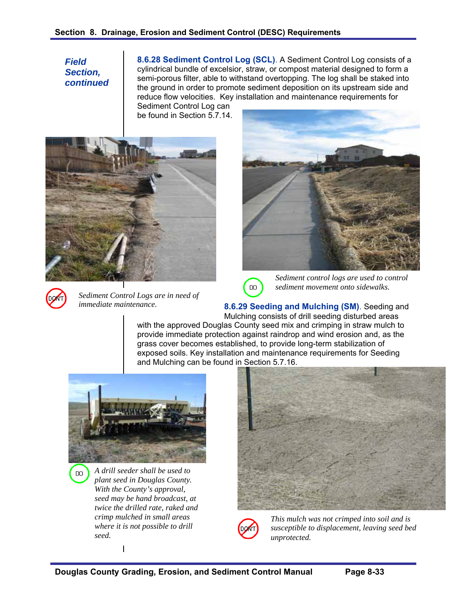**8.6.28 Sediment Control Log (SCL)**. A Sediment Control Log consists of a cylindrical bundle of excelsior, straw, or compost material designed to form a semi-porous filter, able to withstand overtopping. The log shall be staked into the ground in order to promote sediment deposition on its upstream side and reduce flow velocities. Key installation and maintenance requirements for

Sediment Control Log can be found in Section 5.7.14





**DO** 

*Sediment Control Logs are in need of immediate maintenance.* 





*Sediment control logs are used to control sediment movement onto sidewalks.* 

**8.6.29 Seeding and Mulching (SM)**. Seeding and Mulching consists of drill seeding disturbed areas with the approved Douglas County seed mix and crimping in straw mulch to provide immediate protection against raindrop and wind erosion and, as the grass cover becomes established, to provide long-term stabilization of exposed soils. Key installation and maintenance requirements for Seeding and Mulching can be found in Section 5.7.16.



*A drill seeder shall be used to plant seed in Douglas County. With the County's approval, seed may be hand broadcast, at twice the drilled rate, raked and crimp mulched in small areas where it is not possible to drill seed.* 

 $\mathsf{I}$ 





*This mulch was not crimped into soil and is susceptible to displacement, leaving seed bed unprotected.*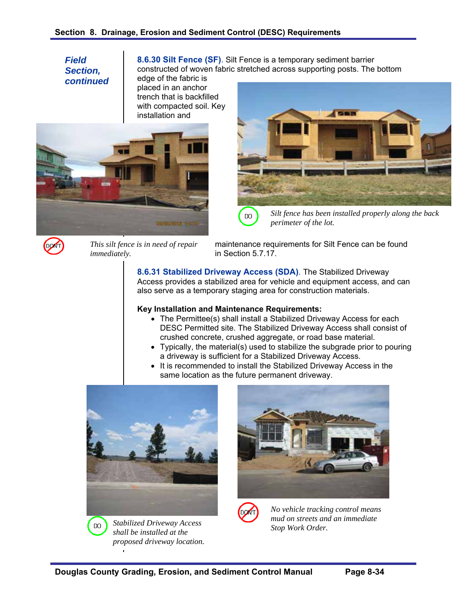**8.6.30 Silt Fence (SF)**. Silt Fence is a temporary sediment barrier constructed of woven fabric stretched across supporting posts. The bottom

edge of the fabric is placed in an anchor trench that is backfilled with compacted soil. Key installation and





*Silt fence has been installed properly along the back perimeter of the lot.* 



*This silt fence is in need of repair immediately.* 

maintenance requirements for Silt Fence can be found in Section 5.7.17.

**8.6.31 Stabilized Driveway Access (SDA)**. The Stabilized Driveway Access provides a stabilized area for vehicle and equipment access, and can also serve as a temporary staging area for construction materials.

#### **Key Installation and Maintenance Requirements:**

DO

- The Permittee(s) shall install a Stabilized Driveway Access for each DESC Permitted site. The Stabilized Driveway Access shall consist of crushed concrete, crushed aggregate, or road base material.
- Typically, the material(s) used to stabilize the subgrade prior to pouring a driveway is sufficient for a Stabilized Driveway Access.
- It is recommended to install the Stabilized Driveway Access in the same location as the future permanent driveway.



*Stabilized Driveway Access shall be installed at the proposed driveway location.* 

**DO** 



*No vehicle tracking control means mud on streets and an immediate Stop Work Order.*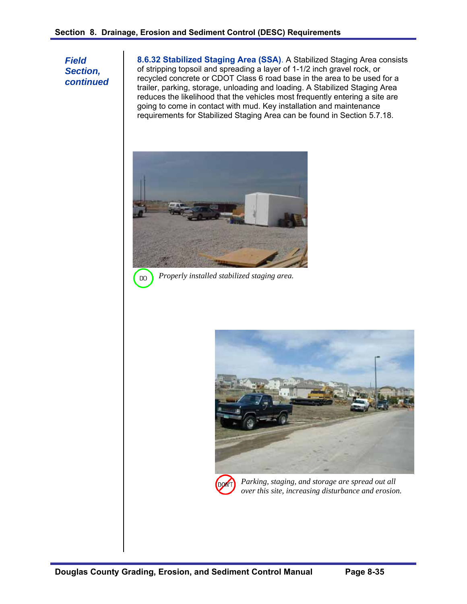**8.6.32 Stabilized Staging Area (SSA)**. A Stabilized Staging Area consists of stripping topsoil and spreading a layer of 1-1/2 inch gravel rock, or recycled concrete or CDOT Class 6 road base in the area to be used for a trailer, parking, storage, unloading and loading. A Stabilized Staging Area reduces the likelihood that the vehicles most frequently entering a site are going to come in contact with mud. Key installation and maintenance requirements for Stabilized Staging Area can be found in Section 5.7.18.



*Properly installed stabilized staging area.*  DO





*Parking, staging, and storage are spread out all over this site, increasing disturbance and erosion.*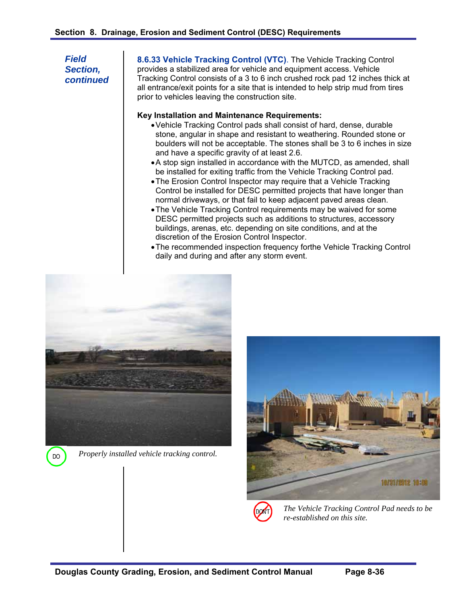**8.6.33 Vehicle Tracking Control (VTC)**. The Vehicle Tracking Control provides a stabilized area for vehicle and equipment access. Vehicle Tracking Control consists of a 3 to 6 inch crushed rock pad 12 inches thick at all entrance/exit points for a site that is intended to help strip mud from tires prior to vehicles leaving the construction site.

#### **Key Installation and Maintenance Requirements:**

- Vehicle Tracking Control pads shall consist of hard, dense, durable stone, angular in shape and resistant to weathering. Rounded stone or boulders will not be acceptable. The stones shall be 3 to 6 inches in size and have a specific gravity of at least 2.6.
- A stop sign installed in accordance with the MUTCD, as amended, shall be installed for exiting traffic from the Vehicle Tracking Control pad.
- The Erosion Control Inspector may require that a Vehicle Tracking Control be installed for DESC permitted projects that have longer than normal driveways, or that fail to keep adjacent paved areas clean.
- The Vehicle Tracking Control requirements may be waived for some DESC permitted projects such as additions to structures, accessory buildings, arenas, etc. depending on site conditions, and at the discretion of the Erosion Control Inspector.
- The recommended inspection frequency forthe Vehicle Tracking Control daily and during and after any storm event.



*Properly installed vehicle tracking control.* 

DO





*The Vehicle Tracking Control Pad needs to be re-established on this site.*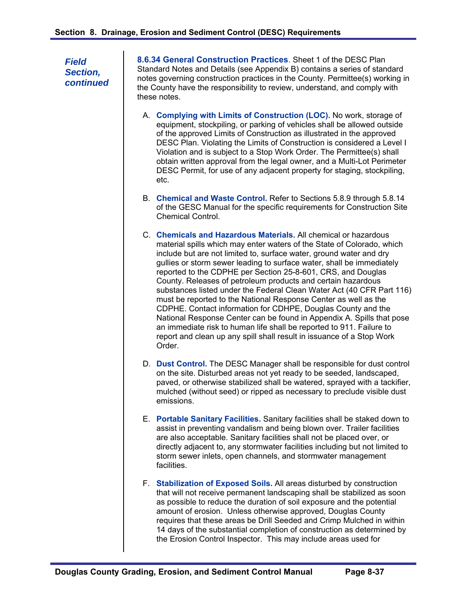**8.6.34 General Construction Practices**. Sheet 1 of the DESC Plan Standard Notes and Details (see Appendix B) contains a series of standard notes governing construction practices in the County. Permittee(s) working in the County have the responsibility to review, understand, and comply with these notes.

- A. **Complying with Limits of Construction (LOC).** No work, storage of equipment, stockpiling, or parking of vehicles shall be allowed outside of the approved Limits of Construction as illustrated in the approved DESC Plan. Violating the Limits of Construction is considered a Level I Violation and is subject to a Stop Work Order. The Permittee(s) shall obtain written approval from the legal owner, and a Multi-Lot Perimeter DESC Permit, for use of any adjacent property for staging, stockpiling, etc.
- B. **Chemical and Waste Control.** Refer to Sections 5.8.9 through 5.8.14 of the GESC Manual for the specific requirements for Construction Site Chemical Control.
- C. **Chemicals and Hazardous Materials.** All chemical or hazardous material spills which may enter waters of the State of Colorado, which include but are not limited to, surface water, ground water and dry gullies or storm sewer leading to surface water, shall be immediately reported to the CDPHE per Section 25-8-601, CRS, and Douglas County. Releases of petroleum products and certain hazardous substances listed under the Federal Clean Water Act (40 CFR Part 116) must be reported to the National Response Center as well as the CDPHE. Contact information for CDHPE, Douglas County and the National Response Center can be found in Appendix A. Spills that pose an immediate risk to human life shall be reported to 911. Failure to report and clean up any spill shall result in issuance of a Stop Work Order.
- D. **Dust Control.** The DESC Manager shall be responsible for dust control on the site. Disturbed areas not yet ready to be seeded, landscaped, paved, or otherwise stabilized shall be watered, sprayed with a tackifier, mulched (without seed) or ripped as necessary to preclude visible dust emissions.
- E. **Portable Sanitary Facilities.** Sanitary facilities shall be staked down to assist in preventing vandalism and being blown over. Trailer facilities are also acceptable. Sanitary facilities shall not be placed over, or directly adjacent to, any stormwater facilities including but not limited to storm sewer inlets, open channels, and stormwater management facilities.
- F. **Stabilization of Exposed Soils.** All areas disturbed by construction that will not receive permanent landscaping shall be stabilized as soon as possible to reduce the duration of soil exposure and the potential amount of erosion. Unless otherwise approved, Douglas County requires that these areas be Drill Seeded and Crimp Mulched in within 14 days of the substantial completion of construction as determined by the Erosion Control Inspector. This may include areas used for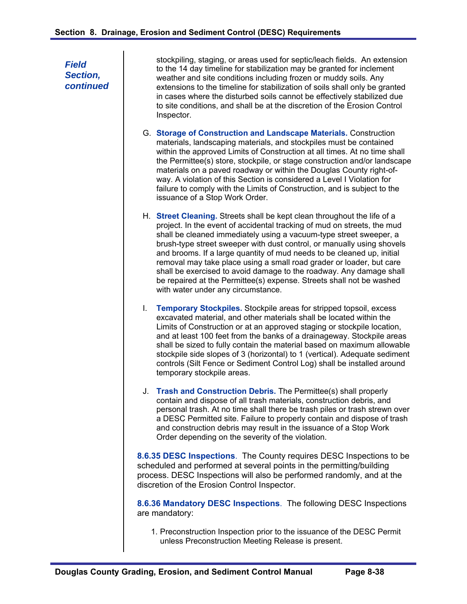stockpiling, staging, or areas used for septic/leach fields. An extension to the 14 day timeline for stabilization may be granted for inclement weather and site conditions including frozen or muddy soils. Any extensions to the timeline for stabilization of soils shall only be granted in cases where the disturbed soils cannot be effectively stabilized due to site conditions, and shall be at the discretion of the Erosion Control Inspector.

- G. **Storage of Construction and Landscape Materials.** Construction materials, landscaping materials, and stockpiles must be contained within the approved Limits of Construction at all times. At no time shall the Permittee(s) store, stockpile, or stage construction and/or landscape materials on a paved roadway or within the Douglas County right-ofway. A violation of this Section is considered a Level I Violation for failure to comply with the Limits of Construction, and is subject to the issuance of a Stop Work Order.
- H. **Street Cleaning.** Streets shall be kept clean throughout the life of a project. In the event of accidental tracking of mud on streets, the mud shall be cleaned immediately using a vacuum-type street sweeper, a brush-type street sweeper with dust control, or manually using shovels and brooms. If a large quantity of mud needs to be cleaned up, initial removal may take place using a small road grader or loader, but care shall be exercised to avoid damage to the roadway. Any damage shall be repaired at the Permittee(s) expense. Streets shall not be washed with water under any circumstance.
- I. **Temporary Stockpiles.** Stockpile areas for stripped topsoil, excess excavated material, and other materials shall be located within the Limits of Construction or at an approved staging or stockpile location, and at least 100 feet from the banks of a drainageway. Stockpile areas shall be sized to fully contain the material based on maximum allowable stockpile side slopes of 3 (horizontal) to 1 (vertical). Adequate sediment controls (Silt Fence or Sediment Control Log) shall be installed around temporary stockpile areas.
- J. **Trash and Construction Debris.** The Permittee(s) shall properly contain and dispose of all trash materials, construction debris, and personal trash. At no time shall there be trash piles or trash strewn over a DESC Permitted site. Failure to properly contain and dispose of trash and construction debris may result in the issuance of a Stop Work Order depending on the severity of the violation.

**8.6.35 DESC Inspections**. The County requires DESC Inspections to be scheduled and performed at several points in the permitting/building process. DESC Inspections will also be performed randomly, and at the discretion of the Erosion Control Inspector.

**8.6.36 Mandatory DESC Inspections**. The following DESC Inspections are mandatory:

1. Preconstruction Inspection prior to the issuance of the DESC Permit unless Preconstruction Meeting Release is present.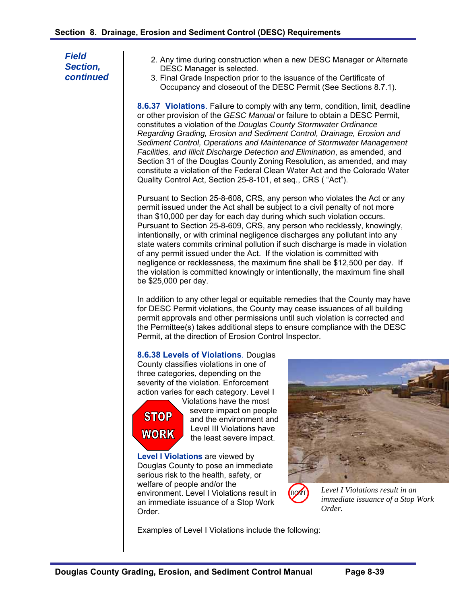| <b>Field</b><br>Section,<br>continued | 2. Any time during construction when a new DESC Manager or Alternate<br>DESC Manager is selected.<br>3. Final Grade Inspection prior to the issuance of the Certificate of<br>Occupancy and closeout of the DESC Permit (See Sections 8.7.1).                                                                                                                                                                                                                                                                                                                                                                                                                                                                                                     |
|---------------------------------------|---------------------------------------------------------------------------------------------------------------------------------------------------------------------------------------------------------------------------------------------------------------------------------------------------------------------------------------------------------------------------------------------------------------------------------------------------------------------------------------------------------------------------------------------------------------------------------------------------------------------------------------------------------------------------------------------------------------------------------------------------|
|                                       | 8.6.37 Violations. Failure to comply with any term, condition, limit, deadline<br>or other provision of the GESC Manual or failure to obtain a DESC Permit,<br>constitutes a violation of the Douglas County Stormwater Ordinance<br>Regarding Grading, Erosion and Sediment Control, Drainage, Erosion and<br>Sediment Control, Operations and Maintenance of Stormwater Management<br>Facilities, and Illicit Discharge Detection and Elimination, as amended, and<br>Section 31 of the Douglas County Zoning Resolution, as amended, and may<br>constitute a violation of the Federal Clean Water Act and the Colorado Water<br>Quality Control Act, Section 25-8-101, et seq., CRS ("Act").                                                   |
|                                       | Pursuant to Section 25-8-608, CRS, any person who violates the Act or any<br>permit issued under the Act shall be subject to a civil penalty of not more<br>than \$10,000 per day for each day during which such violation occurs.<br>Pursuant to Section 25-8-609, CRS, any person who recklessly, knowingly,<br>intentionally, or with criminal negligence discharges any pollutant into any<br>state waters commits criminal pollution if such discharge is made in violation<br>of any permit issued under the Act. If the violation is committed with<br>negligence or recklessness, the maximum fine shall be \$12,500 per day. If<br>the violation is committed knowingly or intentionally, the maximum fine shall<br>be \$25,000 per day. |
|                                       | In addition to any other legal or equitable remedies that the County may have<br>for DESC Permit violations, the County may cease issuances of all building<br>permit approvals and other permissions until such violation is corrected and<br>the Permittee(s) takes additional steps to ensure compliance with the DESC<br>Permit, at the direction of Erosion Control Inspector.                                                                                                                                                                                                                                                                                                                                                               |
|                                       | 8.6.38 Levels of Violations. Douglas<br>County classifies violations in one of<br>three categories, depending on the<br>severity of the violation. Enforcement<br>action varies for each category. Level I<br>Violations have the most<br>severe impact on people<br><b>STOP</b><br>and the environment and<br>Level III Violations have<br><b>WORK</b><br>the least severe impact.                                                                                                                                                                                                                                                                                                                                                               |

**Level I Violations** are viewed by Douglas County to pose an immediate serious risk to the health, safety, or welfare of people and/or the environment. Level I Violations result in an immediate issuance of a Stop Work Order.

*Level I Violations result in an immediate issuance of a Stop Work Order.* 

Examples of Level I Violations include the following:

the least severe impact.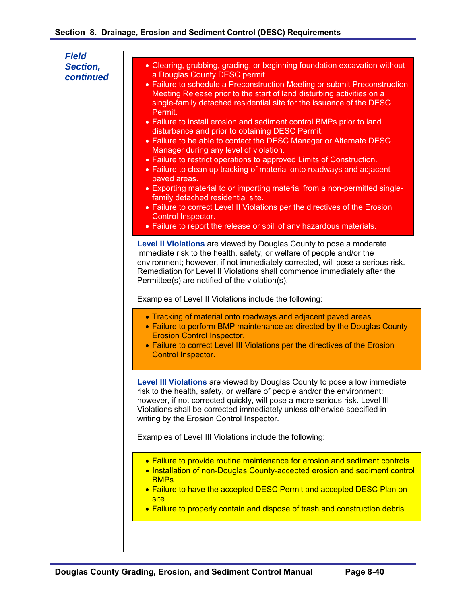- Clearing, grubbing, grading, or beginning foundation excavation without a Douglas County DESC permit.
- Failure to schedule a Preconstruction Meeting or submit Preconstruction Meeting Release prior to the start of land disturbing activities on a single-family detached residential site for the issuance of the DESC Permit.
- Failure to install erosion and sediment control BMPs prior to land disturbance and prior to obtaining DESC Permit.
- Failure to be able to contact the DESC Manager or Alternate DESC Manager during any level of violation.
- Failure to restrict operations to approved Limits of Construction.
- Failure to clean up tracking of material onto roadways and adiacent paved areas.
- Exporting material to or importing material from a non-permitted singlefamily detached residential site.
- Failure to correct Level II Violations per the directives of the Erosion Control Inspector.
- Failure to report the release or spill of any hazardous materials.

**Level II Violations** are viewed by Douglas County to pose a moderate immediate risk to the health, safety, or welfare of people and/or the environment; however, if not immediately corrected, will pose a serious risk. Remediation for Level II Violations shall commence immediately after the Permittee(s) are notified of the violation(s).

Examples of Level II Violations include the following:

- Tracking of material onto roadways and adjacent paved areas.
- Failure to perform BMP maintenance as directed by the Douglas County Erosion Control Inspector.
- Failure to correct Level III Violations per the directives of the Erosion Control Inspector.

**Level III Violations** are viewed by Douglas County to pose a low immediate risk to the health, safety, or welfare of people and/or the environment: however, if not corrected quickly, will pose a more serious risk. Level III Violations shall be corrected immediately unless otherwise specified in writing by the Erosion Control Inspector.

Examples of Level III Violations include the following:

- Failure to provide routine maintenance for erosion and sediment controls.
- Installation of non-Douglas County-accepted erosion and sediment control BMPs.
- Failure to have the accepted DESC Permit and accepted DESC Plan on site.
- Failure to properly contain and dispose of trash and construction debris.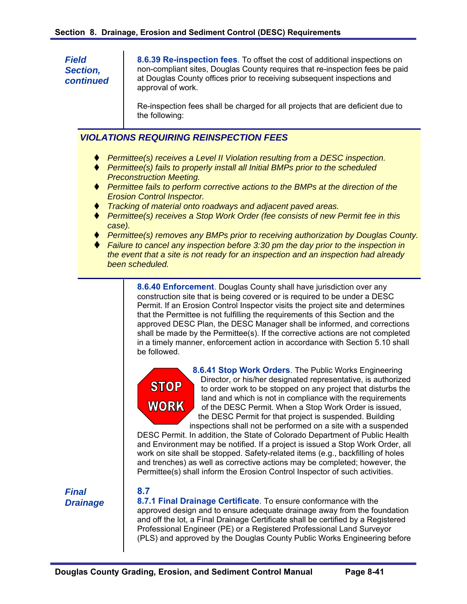**8.6.39 Re-inspection fees**. To offset the cost of additional inspections on non-compliant sites, Douglas County requires that re-inspection fees be paid at Douglas County offices prior to receiving subsequent inspections and approval of work.

Re-inspection fees shall be charged for all projects that are deficient due to the following:

# *VIOLATIONS REQUIRING REINSPECTION FEES*

- *Permittee(s) receives a Level II Violation resulting from a DESC inspection.*
- *Permittee(s) fails to properly install all Initial BMPs prior to the scheduled Preconstruction Meeting.*
- *Permittee fails to perform corrective actions to the BMPs at the direction of the Erosion Control Inspector.*
- *Tracking of material onto roadways and adjacent paved areas.*
- *Permittee(s) receives a Stop Work Order (fee consists of new Permit fee in this case).*
- *Permittee(s) removes any BMPs prior to receiving authorization by Douglas County.*
- *Failure to cancel any inspection before 3:30 pm the day prior to the inspection in the event that a site is not ready for an inspection and an inspection had already been scheduled.*

**8.6.40 Enforcement**. Douglas County shall have jurisdiction over any construction site that is being covered or is required to be under a DESC Permit. If an Erosion Control Inspector visits the project site and determines that the Permittee is not fulfilling the requirements of this Section and the approved DESC Plan, the DESC Manager shall be informed, and corrections shall be made by the Permittee(s). If the corrective actions are not completed in a timely manner, enforcement action in accordance with Section 5.10 shall be followed.



**8.6.41 Stop Work Orders**. The Public Works Engineering Director, or his/her designated representative, is authorized to order work to be stopped on any project that disturbs the land and which is not in compliance with the requirements of the DESC Permit. When a Stop Work Order is issued, the DESC Permit for that project is suspended. Building inspections shall not be performed on a site with a suspended

DESC Permit. In addition, the State of Colorado Department of Public Health and Environment may be notified. If a project is issued a Stop Work Order, all work on site shall be stopped. Safety-related items (e.g., backfilling of holes and trenches) as well as corrective actions may be completed; however, the Permittee(s) shall inform the Erosion Control Inspector of such activities.

*Final Drainage*  **8.7** 

**8.7.1 Final Drainage Certificate**. To ensure conformance with the approved design and to ensure adequate drainage away from the foundation and off the lot, a Final Drainage Certificate shall be certified by a Registered Professional Engineer (PE) or a Registered Professional Land Surveyor (PLS) and approved by the Douglas County Public Works Engineering before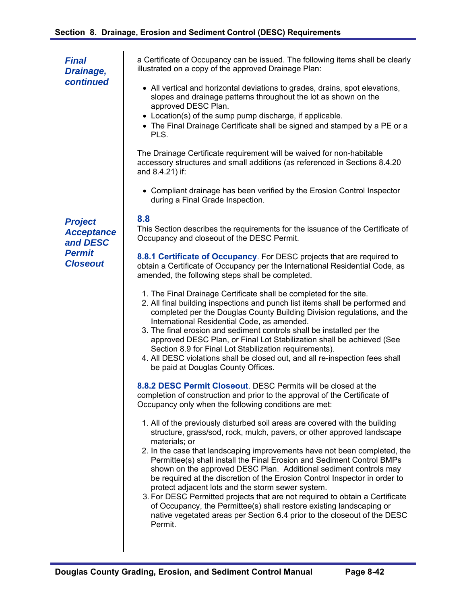a Certificate of Occupancy can be issued. The following items shall be clearly illustrated on a copy of the approved Drainage Plan: All vertical and horizontal deviations to grades, drains, spot elevations, slopes and drainage patterns throughout the lot as shown on the approved DESC Plan. Location(s) of the sump pump discharge, if applicable. The Final Drainage Certificate shall be signed and stamped by a PE or a PLS. *Final Drainage, continued* 

> The Drainage Certificate requirement will be waived for non-habitable accessory structures and small additions (as referenced in Sections 8.4.20 and 8.4.21) if:

 Compliant drainage has been verified by the Erosion Control Inspector during a Final Grade Inspection.

## **8.8**

This Section describes the requirements for the issuance of the Certificate of Occupancy and closeout of the DESC Permit.

**8.8.1 Certificate of Occupancy**. For DESC projects that are required to obtain a Certificate of Occupancy per the International Residential Code, as amended, the following steps shall be completed.

- 1. The Final Drainage Certificate shall be completed for the site.
- 2. All final building inspections and punch list items shall be performed and completed per the Douglas County Building Division regulations, and the International Residential Code, as amended.
- 3. The final erosion and sediment controls shall be installed per the approved DESC Plan, or Final Lot Stabilization shall be achieved (See Section 8.9 for Final Lot Stabilization requirements).
- 4. All DESC violations shall be closed out, and all re-inspection fees shall be paid at Douglas County Offices.

**8.8.2 DESC Permit Closeout**. DESC Permits will be closed at the completion of construction and prior to the approval of the Certificate of Occupancy only when the following conditions are met:

- 1. All of the previously disturbed soil areas are covered with the building structure, grass/sod, rock, mulch, pavers, or other approved landscape materials; or
- 2. In the case that landscaping improvements have not been completed, the Permittee(s) shall install the Final Erosion and Sediment Control BMPs shown on the approved DESC Plan. Additional sediment controls may be required at the discretion of the Erosion Control Inspector in order to protect adjacent lots and the storm sewer system.
- 3. For DESC Permitted projects that are not required to obtain a Certificate of Occupancy, the Permittee(s) shall restore existing landscaping or native vegetated areas per Section 6.4 prior to the closeout of the DESC Permit.

*Project Acceptance and DESC Permit Closeout*